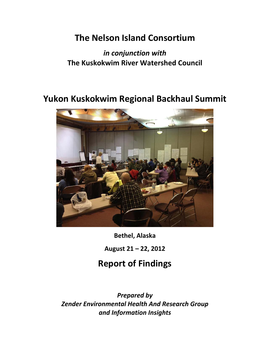# **The Nelson Island Consortium**

# *in conjunction with* **The Kuskokwim River Watershed Council**

# **Yukon Kuskokwim Regional Backhaul Summit**



**Bethel, Alaska**

**August 21 – 22, 2012**

# **Report of Findings**

*Prepared by Zender Environmental Health And Research Group and Information Insights*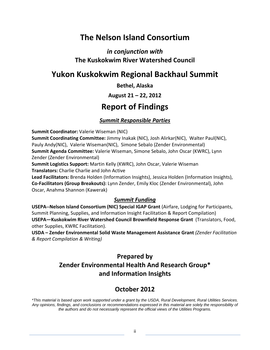# **The Nelson Island Consortium**

## *in conjunction with* **The Kuskokwim River Watershed Council**

# **Yukon Kuskokwim Regional Backhaul Summit**

**Bethel, Alaska**

### **August 21 – 22, 2012**

# **Report of Findings**

### *Summit Responsible Parties*

**Summit Coordinator:** Valerie Wiseman (NIC)

**Summit Coordinating Committee:** Jimmy Inakak (NIC), Josh Alirkar(NIC), Walter Paul(NIC), Pauly Andy(NIC), Valerie Wiseman(NIC), Simone Sebalo (Zender Environmental) **Summit Agenda Committee:** Valerie Wiseman, Simone Sebalo, John Oscar (KWRC), Lynn Zender (Zender Environmental)

**Summit Logistics Support:** Martin Kelly (KWRC), John Oscar, Valerie Wiseman

**Translators:** Charlie Charlie and John Active

**Lead Facilitators:** Brenda Holden (Information Insights), Jessica Holden (Information Insights), **Co‐Facilitators (Group Breakouts):** Lynn Zender, Emily Kloc (Zender Environmental), John Oscar, Anahma Shannon (Kawerak)

### *Summit Funding*

**USEPA‐‐Nelson Island Consortium (NIC) Special IGAP Grant** (Airfare, Lodging for Participants, Summit Planning, Supplies, and Information Insight Facilitation & Report Compilation) **USEPA—Kuskokwim River Watershed Council Brownfield Response Grant** (Translators, Food, other Supplies, KWRC Facilitation).

**USDA – Zender Environmental Solid Waste Management Assistance Grant** *(Zender Facilitation & Report Compilation & Writing)*

## **Prepared by Zender Environmental Health And Research Group\* and Information Insights**

## **October 2012**

*\*This material is based upon work supported under a grant by the USDA, Rural Development, Rural Utilities Services. Any opinions, findings, and conclusions or recommendations expressed in this material are solely the responsibility of the authors and do not necessarily represent the official views of the Utilities Programs.*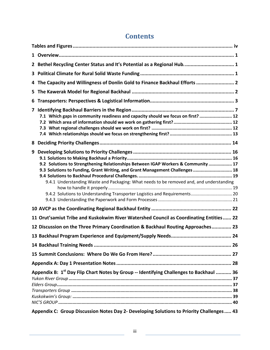| Bethel Recycling Center Status and It's Potential as a Regional Hub 1<br>$\mathbf{2}$                                                                                                                                                                                                                                                            |
|--------------------------------------------------------------------------------------------------------------------------------------------------------------------------------------------------------------------------------------------------------------------------------------------------------------------------------------------------|
| 3                                                                                                                                                                                                                                                                                                                                                |
| The Capacity and Willingness of Donlin Gold to Finance Backhaul Efforts  2<br>4                                                                                                                                                                                                                                                                  |
| 5.                                                                                                                                                                                                                                                                                                                                               |
| 6                                                                                                                                                                                                                                                                                                                                                |
| 7<br>7.1 Which gaps in community readiness and capacity should we focus on first?  12                                                                                                                                                                                                                                                            |
| 8                                                                                                                                                                                                                                                                                                                                                |
| 9<br>9.2 Solutions to Strengthening Relationships Between IGAP Workers & Community  17<br>9.3 Solutions to Funding, Grant Writing, and Grant Management Challenges  18<br>9.4.1 Understanding Waste and Packaging: What needs to be removed and, and understanding<br>9.4.2 Solutions to Understanding Transporter Logistics and Requirements 20 |
|                                                                                                                                                                                                                                                                                                                                                  |
| 11 Orut'samiut Tribe and Kuskokwim River Watershed Council as Coordinating Entities 22                                                                                                                                                                                                                                                           |
| 12 Discussion on the Three Primary Coordination & Backhaul Routing Approaches 23                                                                                                                                                                                                                                                                 |
|                                                                                                                                                                                                                                                                                                                                                  |
|                                                                                                                                                                                                                                                                                                                                                  |
|                                                                                                                                                                                                                                                                                                                                                  |
|                                                                                                                                                                                                                                                                                                                                                  |
| Appendix B: 1 <sup>st</sup> Day Flip Chart Notes by Group -- Identifying Challenges to Backhaul  36                                                                                                                                                                                                                                              |
| Appendix C: Group Discussion Notes Day 2- Developing Solutions to Priority Challenges 43                                                                                                                                                                                                                                                         |

## **Contents**

<u> 1980 - Johann Barn, mars ann an t-Amhain Aonaich an t-Aonaich an t-Aonaich ann an t-Aonaich an t-Aonaich ann </u>

<u> 1980 - Johann Barbara, martxa alemaniar a</u>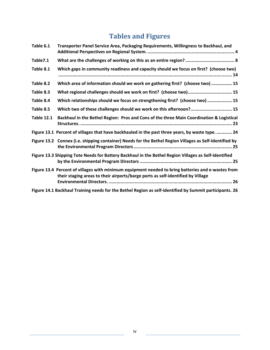# **Tables and Figures**

| Table 6.1         | Transporter Panel Service Area, Packaging Requirements, Willingness to Backhaul, and                                                                                                  |
|-------------------|---------------------------------------------------------------------------------------------------------------------------------------------------------------------------------------|
| Table7.1          |                                                                                                                                                                                       |
| Table 8.1         | Which gaps in community readiness and capacity should we focus on first? (choose two)                                                                                                 |
| Table 8.2         | Which area of information should we work on gathering first? (choose two)  15                                                                                                         |
| Table 8.3         | What regional challenges should we work on first? (choose two) 15                                                                                                                     |
| Table 8.4         | Which relationships should we focus on strengthening first? (choose two)  15                                                                                                          |
| Table 8.5         | Which two of these challenges should we work on this afternoon? 15                                                                                                                    |
| <b>Table 12.1</b> | Backhaul in the Bethel Region: Pros and Cons of the three Main Coordination & Logistical                                                                                              |
|                   | Figure 13.1 Percent of villages that have backhauled in the past three years, by waste type.  24                                                                                      |
|                   | Figure 13.2 Connex (i.e. shipping container) Needs for the Bethel Region Villages as Self-Identified by                                                                               |
|                   | Figure 13.3 Shipping Tote Needs for Battery Backhaul in the Bethel Region Villages as Self-Identified                                                                                 |
|                   | Figure 13.4 Percent of villages with minimum equipment needed to bring batteries and e-wastes from<br>their staging areas to their airports/barge ports as self-identified by Village |
|                   | Figure 14.1 Backhaul Training needs for the Bethel Region as self-identified by Summit participants. 26                                                                               |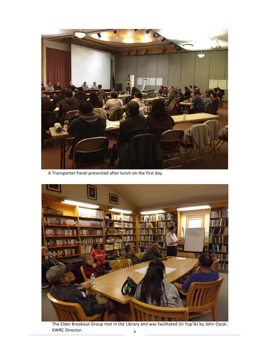

A Transporter Panel presented after lunch on the first day.



v The Elder Breakout Group met in the Library and was facilitated (in Yup'ik) by John Oscar, KWRC Director.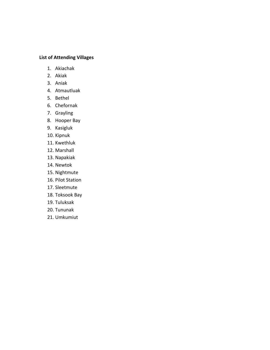### **List of Attending Villages**

- 1. Akiachak
- 2. Akiak
- 3. Aniak
- 4. Atmautluak
- 5. Bethel
- 6. Chefornak
- 7. Grayling
- 8. Hooper Bay
- 9. Kasigluk
- 10. Kipnuk
- 11. Kwethluk
- 12. Marshall
- 13. Napakiak
- 14. Newtok
- 15. Nightmute
- 16. Pilot Station
- 17. Sleetmute
- 18. Toksook Bay
- 19. Tuluksak
- 20. Tununak
- 21. Umkumiut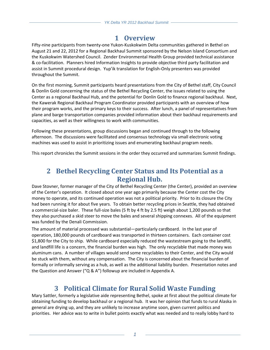## **1 Overview**

Fifty-nine participants from twenty-one Yukon-Kuskokwim Delta communities gathered in Bethel on August 21 and 22, 2012 for a Regional Backhaul Summit sponsored by the Nelson Island Consortium and the Kuskokwim Watershed Council. Zender Environmental Health Group provided technical assistance & co‐facilitation. Planners hired Information Insights to provide objective third party facilitation and assist in Summit procedural design. Yup'ik translation for English‐Only presenters was provided throughout the Summit.

On the first morning, Summit participants heard presentations from the City of Bethel staff, City Council & Donlin Gold concerning the status of the Bethel Recycling Center, the issues related to using the Center as a regional Backhaul Hub, and the potential for Donlin Gold to finance regional backhaul. Next, the Kawerak Regional Backhaul Program Coordinator provided participants with an overview of how their program works, and the primary keys to their success. After lunch, a panel of representatives from plane and barge transportation companies provided information about their backhaul requirements and capacities, as well as their willingness to work with communities.

Following these presentations, group discussions began and continued through to the following afternoon. The discussions were facilitated and consensus technology via small electronic voting machines was used to assist in prioritizing issues and enumerating backhaul program needs.

This report chronicles the Summit sessions in the order they occurred and summarizes Summit findings.

## **2 Bethel Recycling Center Status and Its Potential as a Regional Hub.**

Dave Stovner, former manager of the City of Bethel Recycling Center (the Center), provided an overview of the Center's operation. It closed about one year ago primarily because the Center cost the City money to operate, and its continued operation was not a political priority. Prior to its closure the City had been running it for about five years. To obtain better recycling prices in Seattle, they had obtained a commercial‐size baler. These full‐size bales (5 ft by 4 ft by 2.5 ft) weigh about 1,200 pounds so that they also purchased a skid steer to move the bales and several shipping connexes. All of the equipment was funded by the Denali Commission.

The amount of material processed was substantial—particularly cardboard. In the last year of operation, 180,000 pounds of cardboard was transported in thirteen containers. Each container cost \$1,800 for the City to ship. While cardboard especially reduced the wastestream going to the landfill, and landfill life is a concern, the financial burden was high. The only recyclable that made money was aluminum cans. A number of villages would send some recyclables to their Center, and the City would be stuck with them, without any compensation. The City is concerned about the financial burden of formally or informally serving as a hub, as well as the additional liability burden. Presentation notes and the Question and Answer ("Q & A") followup are included in Appendix A.

## **3 Political Climate for Rural Solid Waste Funding**

Mary Sattler, formerly a legislative aide representing Bethel, spoke at first about the political climate for obtaining funding to develop backhaul or a regional hub. It was her opinion that funds to rural Alaska in general are drying up, and they are unlikely to increase anytime soon, given current politics and priorities. Her advice was to write in bullet points exactly what was needed and to really lobby hard to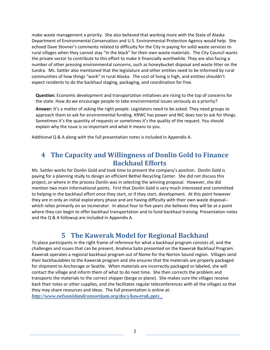make waste management a priority. She also believed that working more with the State of Alaska Department of Environmental Conservation and U.S. Environmental Protection Agency would help. She echoed Dave Stovner's comments related to difficulty for the City in paying for solid waste services to rural villages when they cannot stay "in the black" for their own waste materials. The City Council wants the private sector to contribute to this effort to make it financially worthwhile. They are also facing a number of other pressing environmental concerns, such as honeybucket disposal and waste litter on the tundra. Ms. Sattler also mentioned that the legislature and other entities need to be informed by rural communities of how things "work" in rural Alaska. The cost of living is high, and entities shouldn't expect residents to do the backhaul staging, packaging, and coordination for free.

**Question:** Economic development and transportation initiatives are rising to the top of concerns for the state. How do we encourage people to take environmental issues seriously as a priority?

**Answer:** It's a matter of asking the right people. Legislators need to be asked. They need groups to approach them to ask for environmental funding. KRWC has power and NIC does too to ask for things. Sometimes it's the quantity of requests or sometimes it's the quality of the request. You should explain why the issue is so important and what it means to you.

Additional Q & A along with the full presentation notes is included in Appendix A.

## **4 The Capacity and Willingness of Donlin Gold to Finance Backhaul Efforts**

Ms. Sattler works for Donlin Gold and took time to present the company's position. Donlin Gold is paying for a planning study to design an efficient Bethel Recycling Center. She did not discuss this project, or where in the process Donlin was in selecting the winning proposal. However, she did mention two main informational points. First that Donlin Gold is very much interested and committed to helping in the backhaul effort once they start, or if they start, development. At this point however they are in only an initial exploratory phase and are having difficulty with their own waste disposal‐‐ which relies primarily on an incinerator. In about four to five years she believes they will be at a point where they can begin to offer backhaul transportation and to fund backhaul training. Presentation notes and the Q & A followup are included in Appendix A.

## **5 The Kawerak Model for Regional Backhaul**

To place participants in the right frame of reference for what a backhaul program consists of, and the challenges and issues that can be present, Anahma Saito presented on the Kawerak Backhaul Program. Kawerak operates a regional backhaul program out of Nome for the Norton Sound region. Villages send their backhaulables to the Kawerak program and she ensures that the materials are properly packaged for shipment to Anchorage or Seattle. When materials are incorrectly packaged or labeled, she will contact the village and inform them of what to do next time. She then corrects the problem and transports the materials to the correct shipper (barge or plane). She makes sure the villages receive back their totes or other supplies, and she facilitates regular teleconferences with all the villages so that they may share resources and ideas. The full presentation is online at: *http://www.nelsonislandconsortium.org/docs/kawerak.pptx* .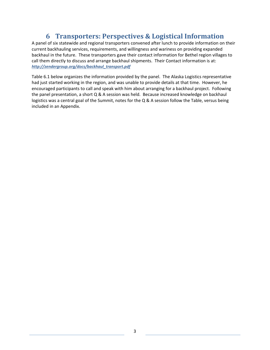## **6 Transporters: Perspectives & Logistical Information**

A panel of six statewide and regional transporters convened after lunch to provide information on their current backhauling services, requirements, and willingness and wariness on providing expanded backhaul in the future. These transporters gave their contact information for Bethel region villages to call them directly to discuss and arrange backhaul shipments. Their Contact information is at: *http://zendergroup.org/docs/backhaul\_transport.pdf*

Table 6.1 below organizes the information provided by the panel. The Alaska Logistics representative had just started working in the region, and was unable to provide details at that time. However, he encouraged participants to call and speak with him about arranging for a backhaul project. Following the panel presentation, a short Q & A session was held. Because increased knowledge on backhaul logistics was a central goal of the Summit, notes for the Q & A session follow the Table, versus being included in an Appendix.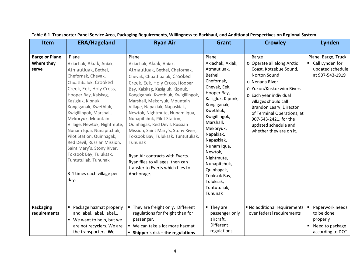| <b>Item</b>                                               | <b>ERA/Hageland</b>                                                                                                                                                                                                                                                                                                                                                                                                                                                                                                               | <b>Ryan Air</b>                                                                                                                                                                                                                                                                                                                                                                                                                                                                                                                                                                                                                            | Grant                                                                                                                                                                                                                                                                                                                                                                            | <b>Crowley</b>                                                                                                                                                                                                                                                                                                                                            | Lynden                                                                                           |
|-----------------------------------------------------------|-----------------------------------------------------------------------------------------------------------------------------------------------------------------------------------------------------------------------------------------------------------------------------------------------------------------------------------------------------------------------------------------------------------------------------------------------------------------------------------------------------------------------------------|--------------------------------------------------------------------------------------------------------------------------------------------------------------------------------------------------------------------------------------------------------------------------------------------------------------------------------------------------------------------------------------------------------------------------------------------------------------------------------------------------------------------------------------------------------------------------------------------------------------------------------------------|----------------------------------------------------------------------------------------------------------------------------------------------------------------------------------------------------------------------------------------------------------------------------------------------------------------------------------------------------------------------------------|-----------------------------------------------------------------------------------------------------------------------------------------------------------------------------------------------------------------------------------------------------------------------------------------------------------------------------------------------------------|--------------------------------------------------------------------------------------------------|
| <b>Barge or Plane</b><br>Where they<br>serve<br>Packaging | Plane<br>Akiachak, Akiak, Aniak,<br>Atmautluak, Bethel,<br>Chefornak, Chevak,<br>Chuathbaluk, Crooked<br>Creek, Eek, Holy Cross,<br>Hooper Bay, Kalskag,<br>Kasigluk, Kipnuk,<br>Kongiganak, Kwethluk,<br>Kwigillingok, Marshall,<br>Mekoryuk, Mountain<br>Village, Newtok, Nightmute,<br>Nunam Iqua, Nunapitchuk,<br>Pilot Station, Quinhagak,<br>Red Devil, Russian Mission,<br>Saint Mary's, Stony River,<br>Toksook Bay, Tuluksak,<br>Tuntutuliak, Tununak<br>3-4 times each village per<br>day.<br>• Package hazmat properly | Plane<br>Akiachak, Akiak, Aniak,<br>Atmautluak, Bethel, Chefornak,<br>Chevak, Chuathbaluk, Crooked<br>Creek, Eek, Holy Cross, Hooper<br>Bay, Kalskag, Kasigluk, Kipnuk,<br>Kongiganak, Kwethluk, Kwigillingok,<br>Marshall, Mekoryuk, Mountain<br>Village, Napakiak, Napaskiak,<br>Newtok, Nightmute, Nunam Iqua,<br>Nunapitchuk, Pilot Station,<br>Quinhagak, Red Devil, Russian<br>Mission, Saint Mary's, Stony River,<br>Toksook Bay, Tuluksak, Tuntutuliak,<br>Tununak<br>Ryan Air contracts with Everts.<br>Ryan flies to villages, then can<br>transfer to Everts which flies to<br>Anchorage.<br>" They are freight only. Different | Plane<br>Akiachak, Akiak,<br>Atmautluak,<br>Bethel,<br>Chefornak,<br>Chevak, Eek,<br>Hooper Bay,<br>Kasigluk, Kipunk,<br>Kongiganak,<br>Kwethluk,<br>Kwigillingok,<br>Marshall,<br>Mekoryuk,<br>Napakiak,<br>Napaskiak,<br>Nunam Iqua,<br>Newtok,<br>Nightmute,<br>Nunapitchuk,<br>Quinhagak,<br>Tooksok Bay,<br>Tuluksak,<br>Tuntutuliak,<br>Tununak<br>$\blacksquare$ They are | <b>Barge</b><br>o Operate all along Arctic<br>Coast, Kotzebue Sound,<br>Norton Sound<br>o Nenana River<br>o Yukon/Kuskokwim Rivers<br>o Each year individual<br>villages should call<br>Brandon Leary, Director<br>of Terminal Operations, at<br>907-543-2421, for the<br>updated schedule and<br>whether they are on it.<br>" No additional requirements | Plane, Barge, Truck<br>Call Lynden for<br>updated schedule<br>at 907-543-1919<br>Paperwork needs |
| requirements                                              | and label, label, label<br>■ We want to help, but we<br>are not recyclers. We are<br>the transporters. We                                                                                                                                                                                                                                                                                                                                                                                                                         | regulations for freight than for<br>passenger.<br>■ We can take a lot more hazmat<br><b>Shipper's risk – the regulations</b>                                                                                                                                                                                                                                                                                                                                                                                                                                                                                                               | passenger only<br>aircraft.<br><b>Different</b><br>regulations                                                                                                                                                                                                                                                                                                                   | over federal requirements                                                                                                                                                                                                                                                                                                                                 | to be done<br>properly<br>Need to package<br>according to DOT                                    |

#### Table 6.1 Transporter Panel Service Area, Packaging Requirements, Willingness to Backhaul, and Additional Perspectives on Regional System.

<u> 1989 - Johann Barn, mars eta bainar eta industrial eta baina eta baina eta baina eta baina eta baina eta bain</u>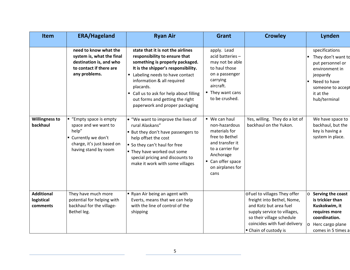| Item                                        | <b>ERA/Hageland</b>                                                                                                                    | <b>Ryan Air</b>                                                                                                                                                                                                                                                                                                                           | <b>Grant</b>                                                                                                                                                           | <b>Crowley</b>                                                                                                                                                                                            | Lynden                                                                                                                                                   |
|---------------------------------------------|----------------------------------------------------------------------------------------------------------------------------------------|-------------------------------------------------------------------------------------------------------------------------------------------------------------------------------------------------------------------------------------------------------------------------------------------------------------------------------------------|------------------------------------------------------------------------------------------------------------------------------------------------------------------------|-----------------------------------------------------------------------------------------------------------------------------------------------------------------------------------------------------------|----------------------------------------------------------------------------------------------------------------------------------------------------------|
|                                             | need to know what the<br>system is, what the final<br>destination is, and who<br>to contact if there are<br>any problems.              | state that it is not the airlines<br>responsibility to ensure that<br>something is properly packaged.<br>It is the shipper's responsibility.<br>Labeling needs to have contact<br>information & all required<br>placards.<br>• Call us to ask for help about filling<br>out forms and getting the right<br>paperwork and proper packaging | apply. Lead<br>acid batteries-<br>may not be able<br>to haul those<br>on a passenger<br>carrying<br>aircraft.<br>■ They want cans<br>to be crushed.                    |                                                                                                                                                                                                           | specifications<br>They don't want to<br>put personnel or<br>environment in<br>jeopardy<br>Need to have<br>someone to accept<br>it at the<br>hub/terminal |
| <b>Willingness to</b><br>backhaul           | ■ "Empty space is empty<br>space and we want to<br>help"<br>" Currently we don't<br>charge, it's just based on<br>having stand by room | . "We want to improve the lives of<br>rural Alaskans"<br><b>But they don't have passengers to</b><br>help offset the cost<br>" So they can't haul for free<br>" They have worked out some<br>special pricing and discounts to<br>make it work with some villages                                                                          | ■ We can haul<br>non-hazardous<br>materials for<br>free to Bethel<br>and transfer it<br>to a carrier for<br>Anchorage<br>• Can offer space<br>on airplanes for<br>cans | Yes, willing. They do a lot of<br>backhaul on the Yukon.                                                                                                                                                  | We have space to<br>backhaul, but the<br>key is having a<br>system in place.                                                                             |
| <b>Additional</b><br>logistical<br>comments | They have much more<br>potential for helping with<br>backhaul for the village-<br>Bethel leg.                                          | Ryan Air being an agent with<br>Everts, means that we can help<br>with the line of control of the<br>shipping                                                                                                                                                                                                                             |                                                                                                                                                                        | oFuel to villages They offer<br>freight into Bethel, Nome,<br>and Kotz but area fuel<br>supply service to villages,<br>so their village schedule<br>coincides with fuel delivery<br>• Chain of custody is | Serving the coast<br>is trickier than<br>Kuskokwim, it<br>requires more<br>coordination.<br>Herc cargo plane<br>$\circ$<br>comes in 5 times a            |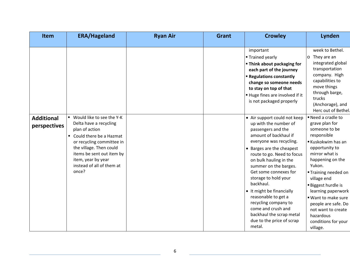| <b>Item</b>                       | <b>ERA/Hageland</b>                                                                                                                                                                                                                                   | <b>Ryan Air</b> | <b>Grant</b> | <b>Crowley</b>                                                                                                                                                                                                                                                                                                                                                                                                                                                                   | Lynden                                                                                                                                                                                                                                                                                                                                                                |
|-----------------------------------|-------------------------------------------------------------------------------------------------------------------------------------------------------------------------------------------------------------------------------------------------------|-----------------|--------------|----------------------------------------------------------------------------------------------------------------------------------------------------------------------------------------------------------------------------------------------------------------------------------------------------------------------------------------------------------------------------------------------------------------------------------------------------------------------------------|-----------------------------------------------------------------------------------------------------------------------------------------------------------------------------------------------------------------------------------------------------------------------------------------------------------------------------------------------------------------------|
|                                   |                                                                                                                                                                                                                                                       |                 |              | important<br><b>Trained yearly</b><br>" Think about packaging for<br>each part of the journey<br><b>E</b> Regulations constantly<br>change so someone needs<br>to stay on top of that<br>Huge fines are involved if it<br>is not packaged properly                                                                                                                                                                                                                               | week to Bethel.<br>$o$ They are an<br>integrated global<br>transportation<br>company. High<br>capabilities to<br>move things<br>through barge,<br>trucks<br>(Anchorage), and<br>Herc out of Bethel.                                                                                                                                                                   |
| <b>Additional</b><br>perspectives | ■ Would like to see the Y-K<br>Delta have a recycling<br>plan of action<br>• Could there be a Hazmat<br>or recycling committee in<br>the village. Then could<br>items be sent out item by<br>item, year by year<br>instead of all of them at<br>once? |                 |              | • Air support could not keep<br>up with the number of<br>passengers and the<br>amount of backhaul if<br>everyone was recycling.<br>• Barges are the cheapest<br>route to go. Need to focus<br>on bulk hauling in the<br>summer on the barges.<br>Get some connexes for<br>storage to hold your<br>backhaul.<br>• It might be financially<br>reasonable to get a<br>recycling company to<br>come and crush and<br>backhaul the scrap metal<br>due to the price of scrap<br>metal. | Need a cradle to<br>grave plan for<br>someone to be<br>responsible<br>Kuskokwim has an<br>opportunity to<br>mirror what is<br>happening on the<br>Yukon.<br>■ Training needed on<br>village end<br><b>Biggest hurdle is</b><br>learning paperwork<br>■ Want to make sure<br>people are safe. Do<br>not want to create<br>hazardous<br>conditions for your<br>village. |

<u> 1989 - Johann Stoff, fransk politik (d. 1989)</u>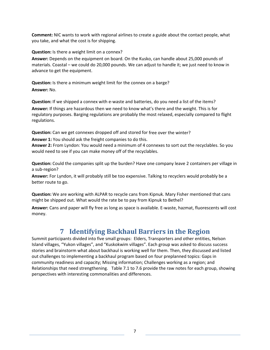**Comment:** NIC wants to work with regional airlines to create a guide about the contact people, what you take, and what the cost is for shipping.

**Question:** Is there a weight limit on a connex?

**Answer:** Depends on the equipment on board. On the Kusko, can handle about 25,000 pounds of materials. Coastal – we could do 20,000 pounds. We can adjust to handle it; we just need to know in advance to get the equipment.

**Question:** Is there a minimum weight limit for the connex on a barge? **Answer:** No.

**Question:** If we shipped a connex with e‐waste and batteries, do you need a list of the items? **Answer:** If things are hazardous then we need to know what's there and the weight. This is for regulatory purposes. Barging regulations are probably the most relaxed, especially compared to flight regulations.

**Question:** Can we get connexes dropped off and stored for free over the winter?

**Answer 1:** You should ask the freight companies to do this.

**Answer 2:** From Lyndon: You would need a minimum of 4 connexes to sort out the recyclables. So you would need to see if you can make money off of the recyclables.

**Question:** Could the companies split up the burden? Have one company leave 2 containers per village in a sub‐region?

**Answer:** For Lyndon, it will probably still be too expensive. Talking to recyclers would probably be a better route to go.

**Question:** We are working with ALPAR to recycle cans from Kipnuk. Mary Fisher mentioned that cans might be shipped out. What would the rate be to pay from Kipnuk to Bethel?

**Answer:** Cans and paper will fly free as long as space is available. E‐waste, hazmat, fluorescents will cost money.

## **7 Identifying Backhaul Barriers in the Region**

Summit participants divided into five small groups: Elders, Transporters and other entities, Nelson Island villages, "Yukon villages", and "Kuskokwim villages". Each group was asked to discuss success stories and brainstorm what about backhaul is working well for them. Then, they discussed and listed out challenges to implementing a backhaul program based on four preplanned topics: Gaps in community readiness and capacity; Missing information; Challenges working as a region; and Relationships that need strengthening. Table 7.1 to 7.6 provide the raw notes for each group, showing perspectives with interesting commonalities and differences.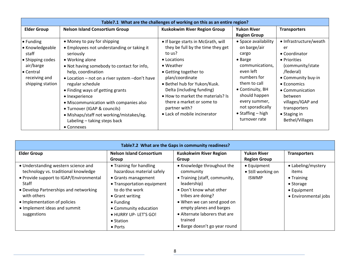| Table 7.1 What are the challenges of working on this as an entire region?                                                        |                                                                                                                                                                                                                                                                                                                                                                                                                                                                                |                                                                                                                                                                                                                                                                                                                                                   |                                                                                                                                                                                                                                                 |                                                                                                                                                                                                                                           |  |  |
|----------------------------------------------------------------------------------------------------------------------------------|--------------------------------------------------------------------------------------------------------------------------------------------------------------------------------------------------------------------------------------------------------------------------------------------------------------------------------------------------------------------------------------------------------------------------------------------------------------------------------|---------------------------------------------------------------------------------------------------------------------------------------------------------------------------------------------------------------------------------------------------------------------------------------------------------------------------------------------------|-------------------------------------------------------------------------------------------------------------------------------------------------------------------------------------------------------------------------------------------------|-------------------------------------------------------------------------------------------------------------------------------------------------------------------------------------------------------------------------------------------|--|--|
| <b>Elder Group</b>                                                                                                               | <b>Nelson Island Consortium Group</b>                                                                                                                                                                                                                                                                                                                                                                                                                                          | Kuskokwim River Region Group                                                                                                                                                                                                                                                                                                                      | <b>Yukon River</b><br><b>Region Group</b>                                                                                                                                                                                                       | <b>Transporters</b>                                                                                                                                                                                                                       |  |  |
| $\bullet$ Funding<br>• Knowledgeable<br>staff<br>• Shipping codes<br>air/barge<br>• Central<br>receiving and<br>shipping station | • Money to pay for shipping<br>• Employees not understanding or taking it<br>seriously<br>• Working alone<br>• Not having somebody to contact for info,<br>help, coordination<br>• Location – not on a river system – don't have<br>regular schedule<br>• Finding ways of getting grants<br>• Inexperience<br>• Miscommunication with companies also<br>• Turnover (IGAP & councils)<br>• Mishaps/staff not working/mistakes/eg.<br>Labeling - taking steps back<br>• Connexes | • If barge starts in McGrath, will<br>they be full by the time they get<br>to us?<br>• Locations<br>$\bullet$ Weather<br>• Getting together to<br>plan/coordinate<br>• Bethel hub for Yukon/Kusk.<br>Delta (including funding)<br>• How to market the materials? Is<br>there a market or some to<br>partner with?<br>• Lack of mobile incinerator | • Space availability<br>on barge/air<br>cargo<br>• Barge<br>communications,<br>even left<br>numbers for<br>them to call<br>• Continuity, BH<br>should happen<br>every summer,<br>not sporadically<br>$\bullet$ Staffing – high<br>turnover rate | • Infrastructure/weath<br>er<br>• Coordinator<br>• Priorities<br>(community/state<br>/federal)<br>• Community buy-in<br>• Economics<br>• Communication<br>between<br>villages/IGAP and<br>transporters<br>• Staging in<br>Bethel/Villages |  |  |

| Table 7.2 What are the Gaps in community readiness?                                                                                                                                                                                                                    |                                                                                                                                                                                                                                                      |                                                                                                                                                                                                                                                                               |                                                   |                                                                                                               |  |
|------------------------------------------------------------------------------------------------------------------------------------------------------------------------------------------------------------------------------------------------------------------------|------------------------------------------------------------------------------------------------------------------------------------------------------------------------------------------------------------------------------------------------------|-------------------------------------------------------------------------------------------------------------------------------------------------------------------------------------------------------------------------------------------------------------------------------|---------------------------------------------------|---------------------------------------------------------------------------------------------------------------|--|
| <b>Elder Group</b>                                                                                                                                                                                                                                                     | <b>Nelson Island Consortium</b><br>Group                                                                                                                                                                                                             | <b>Kuskokwim River Region</b><br>Group                                                                                                                                                                                                                                        | <b>Yukon River</b><br><b>Region Group</b>         | <b>Transporters</b>                                                                                           |  |
| • Understanding western science and<br>technology vs. traditional knowledge<br>• Provide support to IGAP/Environmental<br>Staff<br>• Develop Partnerships and networking<br>with others<br>• Implementation of policies<br>• Implement ideas and summit<br>suggestions | • Training for handling<br>hazardous material safely<br>• Grants management<br>• Transportation equipment<br>to do the work<br>• Grant writing<br>$\bullet$ Funding<br>• Community education<br>. HURRY UP-LET'S GO!<br>• Station<br>$\bullet$ Ports | • Knowledge throughout the<br>community<br>• Training (staff, community,<br>leadership)<br>• Don't know what other<br>tribes are doing?<br>• When we can send good on<br>empty planes and barges<br>• Alternate laborers that are<br>trained<br>• Barge doesn't go year round | • Equipment<br>• Still working on<br><b>ISWMP</b> | • Labeling/mystery<br>items<br>$\bullet$ Training<br>$\bullet$ Storage<br>• Equipment<br>• Environmental jobs |  |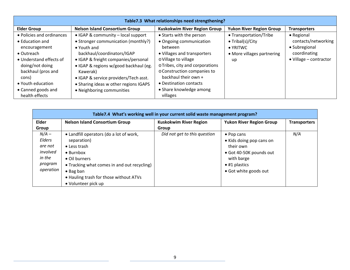| Table7.3 What relationships need strengthening? |                                       |                                     |                                 |                        |  |
|-------------------------------------------------|---------------------------------------|-------------------------------------|---------------------------------|------------------------|--|
| <b>Elder Group</b>                              | <b>Nelson Island Consortium Group</b> | <b>Kuskokwim River Region Group</b> | <b>Yukon River Region Group</b> | <b>Transporters</b>    |  |
| • Policies and ordinances                       | • IGAP & community - local support    | • Starts with the person            | • Transportation/Tribe          | • Regional             |  |
| • Education and                                 | • Stronger communication (monthly?)   | • Ongoing communication             | $\bullet$ Tribal(s)/City        | contacts/networking    |  |
| encouragement                                   | $\bullet$ Youth and                   | between                             | $\bullet$ YRITWC                | • Subregional          |  |
| $\bullet$ Outreach                              | backhaul/coordinators/IGAP            | • Villages and transporters         | • More villages partnering      | coordinating           |  |
| • Understand effects of                         | • IGAP & freight companies/personal   | o Village to village                | up                              | • Village - contractor |  |
| doing/not doing                                 | · IGAP & regions w/good backhaul (eg. | o Tribes, city and corporations     |                                 |                        |  |
| backhaul (pros and                              | Kawerak)                              | o Construction companies to         |                                 |                        |  |
| cons)                                           | • IGAP & service providers/Tech asst. | backhaul their own +                |                                 |                        |  |
| • Youth education                               | Sharing ideas w other regions IGAPS   | • Destination contacts              |                                 |                        |  |
| • Canned goods and                              | • Neighboring communities             | • Share knowledge among             |                                 |                        |  |
| health effects                                  |                                       | villages                            |                                 |                        |  |

|                                                                            | Table7.4 What's working well in your current solid waste management program?                                                                                                                                                                      |                               |                                                                                                                                                |                     |  |  |  |
|----------------------------------------------------------------------------|---------------------------------------------------------------------------------------------------------------------------------------------------------------------------------------------------------------------------------------------------|-------------------------------|------------------------------------------------------------------------------------------------------------------------------------------------|---------------------|--|--|--|
| Elder                                                                      | <b>Nelson Island Consortium Group</b>                                                                                                                                                                                                             | <b>Kuskokwim River Region</b> | <b>Yukon River Region Group</b>                                                                                                                | <b>Transporters</b> |  |  |  |
| Group                                                                      |                                                                                                                                                                                                                                                   | Group                         |                                                                                                                                                |                     |  |  |  |
| $N/A -$<br>Elders<br>are not<br>involved<br>in the<br>program<br>operation | • Landfill operators (do a lot of work,<br>separation)<br>• Less trash<br>$\bullet$ Burnbox<br>• Oil burners<br>• Tracking what comes in and out recycling)<br>$\bullet$ Bag ban<br>. Hauling trash for those without ATVs<br>• Volunteer pick up | Did not get to this question  | • Pop cans<br>• Kids doing pop cans on<br>their own<br>• Got 40-50K pounds out<br>with barge<br>$\bullet$ #1 plastics<br>• Got white goods out | N/A                 |  |  |  |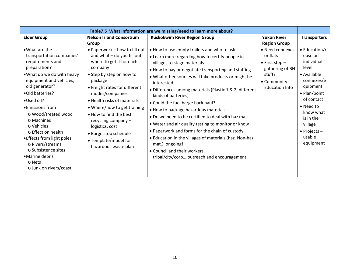| Table7.5 What information are we missing/need to learn more about?                                                                                                                                                                                                                                                                                                                                                        |                                                                                                                                                                                                                                                                                                                                                                                                           |                                                                                                                                                                                                                                                                                                                                                                                                                                                                                                                                                                                                                                                                                                                                                  |                                                                                                                     |                                                                                                                                                                                                                                   |
|---------------------------------------------------------------------------------------------------------------------------------------------------------------------------------------------------------------------------------------------------------------------------------------------------------------------------------------------------------------------------------------------------------------------------|-----------------------------------------------------------------------------------------------------------------------------------------------------------------------------------------------------------------------------------------------------------------------------------------------------------------------------------------------------------------------------------------------------------|--------------------------------------------------------------------------------------------------------------------------------------------------------------------------------------------------------------------------------------------------------------------------------------------------------------------------------------------------------------------------------------------------------------------------------------------------------------------------------------------------------------------------------------------------------------------------------------------------------------------------------------------------------------------------------------------------------------------------------------------------|---------------------------------------------------------------------------------------------------------------------|-----------------------------------------------------------------------------------------------------------------------------------------------------------------------------------------------------------------------------------|
| <b>Elder Group</b>                                                                                                                                                                                                                                                                                                                                                                                                        | <b>Nelson Island Consortium</b><br>Group                                                                                                                                                                                                                                                                                                                                                                  | <b>Kuskokwim River Region Group</b>                                                                                                                                                                                                                                                                                                                                                                                                                                                                                                                                                                                                                                                                                                              | <b>Yukon River</b><br><b>Region Group</b>                                                                           | <b>Transporters</b>                                                                                                                                                                                                               |
| • What are the<br>transportation companies'<br>requirements and<br>preparation?<br>. What do we do with heavy<br>equipment and vehicles,<br>old generator?<br>•Old batteries?<br>• Used oil?<br>• Emissions from<br>o Wood/treated wood<br>o Machines<br>o Vehicles<br>o Effect on health<br>• Effects from light poles<br>o Rivers/streams<br>o Subsistence sites<br>• Marine debris<br>o Nets<br>o Junk on rivers/coast | • Paperwork - how to fill out<br>and what - do you fill out,<br>where to get it for each<br>company<br>• Step by step on how to<br>package<br>• Freight rates for different<br>modes/companies<br>• Health risks of materials<br>• Where/how to get training<br>• How to find the best<br>recycling company -<br>logistics, cost<br>• Barge stop schedule<br>• Template/model for<br>hazardous waste plan | • How to use empty trailers and who to ask<br>• Learn more regarding how to certify people in<br>villages to stage materials<br>• How to pay or negotiate transporting and staffing<br>. What other sources will take products or might be<br>interested<br>• Differences among materials (Plastic 1 & 2, different<br>kinds of batteries)<br>• Could the fuel barge back haul?<br>. How to package hazardous materials<br>. Do we need to be certified to deal with haz mat.<br>• Water and air quality testing to monitor or know<br>• Paperwork and forms for the chain of custody<br>• Education in the villages of materials (haz. Non-haz<br>mat.) ongoing!<br>• Council and their workers,<br>tribal/city/corpoutreach and encouragement. | • Need connexes<br>or flats<br>$\bullet$ First step -<br>gathering of BH<br>stuff?<br>• Community<br>Education Info | $\bullet$ Education/r<br>euse on<br>individual<br>level<br>• Available<br>connexes/e<br>quipment<br>• Plan/point<br>of contact<br>• Need to<br>know what<br>is in the<br>village<br>$\bullet$ Projects $-$<br>usable<br>equipment |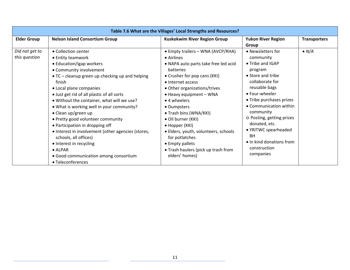| Table 7.6 What are the Villages' Local Strengths and Resources? |                                                                                                                                                                                                                                                                                                                                                                                                                                                                                                                                                                                                                            |                                                                                                                                                                                                                                                                                                                                                                                                                                                                     |                                                                                                                                                                                                                                                                                                                                                         |                     |  |  |
|-----------------------------------------------------------------|----------------------------------------------------------------------------------------------------------------------------------------------------------------------------------------------------------------------------------------------------------------------------------------------------------------------------------------------------------------------------------------------------------------------------------------------------------------------------------------------------------------------------------------------------------------------------------------------------------------------------|---------------------------------------------------------------------------------------------------------------------------------------------------------------------------------------------------------------------------------------------------------------------------------------------------------------------------------------------------------------------------------------------------------------------------------------------------------------------|---------------------------------------------------------------------------------------------------------------------------------------------------------------------------------------------------------------------------------------------------------------------------------------------------------------------------------------------------------|---------------------|--|--|
| <b>Elder Group</b>                                              | <b>Nelson Island Consortium Group</b>                                                                                                                                                                                                                                                                                                                                                                                                                                                                                                                                                                                      | Kuskokwim River Region Group                                                                                                                                                                                                                                                                                                                                                                                                                                        | <b>Yukon River Region</b><br>Group                                                                                                                                                                                                                                                                                                                      | <b>Transporters</b> |  |  |
| Did not get to<br>this question                                 | • Collection center<br>• Entity teamwork<br>• Education/igap workers<br>• Community involvement<br>• TC – cleanup green up checking up and helping<br>finish<br>• Local plane companies<br>• Just get rid of all plastic of all sorts<br>• Without the container, what will we use?<br>• What is working well in your community?<br>• Clean up/green up<br>• Pretty good volunteer community<br>• Participation in dropping off<br>• Interest in involvement (other agencies (stores,<br>schools, all offices)<br>• Interest in recycling<br>$\bullet$ ALPAR<br>• Good communication among consortium<br>• Teleconferences | • Empty trailers - WNA (AVCP/RHA)<br>• Airlines<br>• NAPA auto parts take free led acid<br>batteries<br>• Crusher for pop cans (KKI)<br>• Internet access<br>• Other organizations/trives<br>• Heavy equipment - WNA<br>$\bullet$ 4 wheelers<br>• Dumpsters<br>• Trash bins (WNA/KKI)<br>· Oil burner (KKI)<br>• Hopper (KKI)<br>• Elders, youth, volunteers, schools<br>for potlatches<br>• Empty pallets<br>• Trash haulers (pick up trash from<br>elders' homes) | • Newsletters for<br>community<br>• Tribe and IGAP<br>program<br>• Store and tribe<br>collaborate for<br>reusable bags<br>• Four-wheeler<br>• Tribe purchases prizes<br>• Communication within<br>community<br>o Posting, getting prizes<br>donated, etc.<br>• YRITWC spearheaded<br><b>BH</b><br>• In kind donations from<br>construction<br>companies | $\bullet N/A$       |  |  |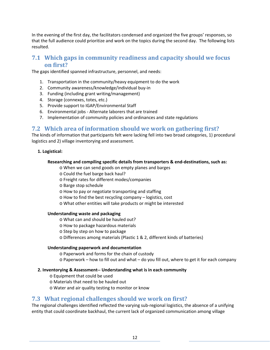In the evening of the first day, the facilitators condensed and organized the five groups' responses, so that the full audience could prioritize and work on the topics during the second day. The following lists resulted.

### **7.1 Which gaps in community readiness and capacity should we focus on first?**

The gaps identified spanned infrastructure, personnel, and needs:

- 1. Transportation in the community/heavy equipment to do the work
- 2. Community awareness/knowledge/individual buy‐in
- 3. Funding (including grant writing/management)
- 4. Storage (connexes, totes, etc.)
- 5. Provide support to IGAP/Environmental Staff
- 6. Environmental jobs ‐ Alternate laborers that are trained
- 7. Implementation of community policies and ordinances and state regulations

### **7.2 Which area of information should we work on gathering first?**

The kinds of information that participants felt were lacking fell into two broad categories, 1) procedural logistics and 2) village inventorying and assessment.

#### **1. Logistical:**

#### **Researching and compiling specific details from transporters & end‐destinations, such as:**

- o When we can send goods on empty planes and barges
- o Could the fuel barge back haul?
- o Freight rates for different modes/companies
- o Barge stop schedule
- o How to pay or negotiate transporting and staffing
- o How to find the best recycling company logistics, cost
- o What other entities will take products or might be interested

#### **Understanding waste and packaging**

- o What can and should be hauled out?
- o How to package hazardous materials
- o Step by step on how to package
- o Differences among materials (Plastic 1 & 2, different kinds of batteries)

#### **Understanding paperwork and documentation**

- o Paperwork and forms for the chain of custody
- o Paperwork how to fill out and what do you fill out, where to get it for each company

#### **2. Inventorying & Assessment‐‐ Understanding what is in each community**

- o Equipment that could be used
- o Materials that need to be hauled out
- o Water and air quality testing to monitor or know

#### **7.3 What regional challenges should we work on first?**

The regional challenges identified reflected the varying sub-regional logistics, the absence of a unifying entity that could coordinate backhaul, the current lack of organized communication among village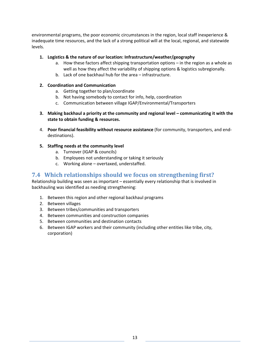environmental programs, the poor economic circumstances in the region, local staff inexperience & inadequate time resources, and the lack of a strong political will at the local, regional, and statewide levels.

#### **1. Logistics & the nature of our location: Infrastructure/weather/geography**

- a. How these factors affect shipping transportation options in the region as a whole as well as how they affect the variability of shipping options & logistics subregionally.
- b. Lack of one backhaul hub for the area infrastructure.

#### **2. Coordination and Communication**

- a. Getting together to plan/coordinate
- b. Not having somebody to contact for info, help, coordination
- c. Communication between village IGAP/Environmental/Transporters
- **3. Making backhaul a priority at the community and regional level – communicating it with the state to obtain funding & resources.**
- 4. **Poor financial feasibility without resource assistance** (for community, transporters, and end‐ destinations).
- **5. Staffing needs at the community level**
	- a. Turnover (IGAP & councils)
	- b. Employees not understanding or taking it seriously
	- c. Working alone overtaxed, understaffed.

### **7.4 Which relationships should we focus on strengthening first?**

Relationship building was seen as important – essentially every relationship that is involved in backhauling was identified as needing strengthening:

- 1. Between this region and other regional backhaul programs
- 2. Between villages
- 3. Between tribes/communities and transporters
- 4. Between communities and construction companies
- 5. Between communities and destination contacts
- 6. Between IGAP workers and their community (including other entities like tribe, city, corporation)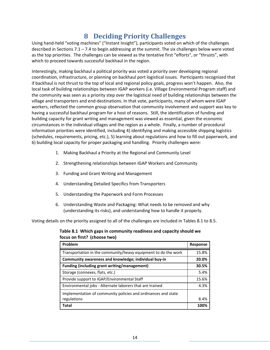## **8 Deciding Priority Challenges**

Using hand‐held "voting machines" ("Instant Insight"), participants voted on which of the challenges described in Sections 7.1 – 7.4 to begin addressing at the summit. The six challenges below were voted as the top priorities. The challenges can be viewed as the tentative first "efforts", or "thrusts", with which to proceed towards successful backhaul in the region.

Interestingly, making backhaul a political priority was voted a priority over developing regional coordination, infrastructure, or planning on backhaul port logistical issues. Participants recognized that if backhaul is not thrust to the top of local and regional policy goals, progress won't happen. Also, the local task of building relationships between IGAP workers (i.e. Village Environmental Program staff) and the community was seen as a priority step over the logistical need of building relationships between the village and transporters and end‐destinations. In that vote, participants, many of whom were IGAP workers, reflected the common group observation that community involvement and support was key to having a successful backhaul program for a host of reasons. Still, the identification of funding and building capacity for grant writing and management was viewed as essential, given the economic circumstances in the individual villages and the region as a whole. Finally, a number of procedural information priorities were identified, including 4) identifying and making accessible shipping logistics (schedules, requirements, pricing, etc.), 5) learning about regulations and how to fill out paperwork, and 6) building local capacity for proper packaging and handling. Priority challenges were:

- 1. Making Backhaul a Priority at the Regional and Community Level
- 2. Strengthening relationships between IGAP Workers and Community
- 3. Funding and Grant Writing and Management
- 4. Understanding Detailed Specifics from Transporters
- 5. Understanding the Paperwork and Form Processes
- 6. Understanding Waste and Packaging: What needs to be removed and why (understanding its risks), and understanding how to handle it properly.

Voting details on the priority assigned to all of the challenges are included in Tables 8.1 to 8.5.

**Table 8.1 Which gaps in community readiness and capacity should we focus on first? (choose two)**

| Problem                                                        | <b>Response</b> |
|----------------------------------------------------------------|-----------------|
| Transportation in the community/heavy equipment to do the work | 15.8%           |
| Community awareness and knowledge; individual buy-in           | 20.0%           |
| <b>Funding (including grant writing/management)</b>            | 30.5%           |
| Storage (connexes, flats, etc.)                                | 5.4%            |
| Provide support to IGAP/Environmental Staff                    | 15.6%           |
| Environmental jobs - Alternate laborers that are trained       | 4.3%            |
| Implementation of community policies and ordinances and state  |                 |
| regulations                                                    | 8.4%            |
| <b>Total</b>                                                   | 100%            |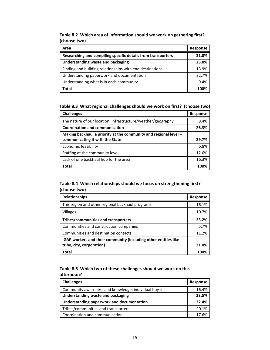| Area                                                         | Response |
|--------------------------------------------------------------|----------|
| Researching and compiling specific details from transporters | 31.0%    |
| Understanding waste and packaging                            | 23.0%    |
| Finding and building relationships with end destinations     | 13.9%    |
| Understanding paperwork and documentation                    | 22.7%    |
| Understanding what is in each community                      | 9.4%     |
| Total                                                        | 100%     |

**Table 8.2 Which area of information should we work on gathering first? (choose two)**

**Table 8.3 What regional challenges should we work on first? (choose two)**

| <b>Challenges</b>                                                  | Response |
|--------------------------------------------------------------------|----------|
| The nature of our location: Infrastructure/weather/geography       | 8.4%     |
| <b>Coordination and communication</b>                              | 26.3%    |
| Making backhaul a priority at the community and regional level $-$ |          |
| communicating it with the State                                    | 29.7%    |
| Economic feasibility                                               | 6.8%     |
| Staffing at the community level                                    |          |
| Lack of one backhaul hub for the area                              |          |
| <b>Total</b>                                                       | 100%     |

#### **Table 8.4 Which relationships should we focus on strengthening first? (choose two)**

| <b>Relationships</b>                                                   | <b>Response</b> |
|------------------------------------------------------------------------|-----------------|
| This region and other regional backhaul programs                       | 16.1%           |
| Villages                                                               | 10.7%           |
| Tribes/communities and transporters                                    | 25.2%           |
| Communities and construction companies                                 | 5.7%            |
| Communities and destination contacts                                   | 11.2%           |
| <b>IGAP</b> workers and their community (including other entities like |                 |
| tribe, city, corporation)                                              | 31.0%           |
| Total                                                                  | 100%            |

#### **Table 8.5 Which two of these challenges should we work on this afternoon?**

| <b>Challenges</b>                                    |       |
|------------------------------------------------------|-------|
| Community awareness and knowledge; individual buy-in | 16.4% |
| Understanding waste and packaging                    |       |
| Understanding paperwork and documentation            | 22.4% |
| Tribes/communities and transporters                  | 20.1% |
| Coordination and communication                       | 17 6% |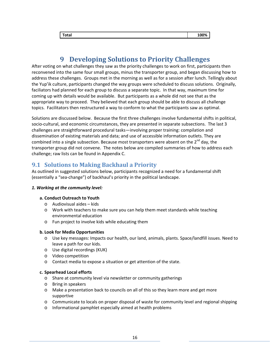## **9 Developing Solutions to Priority Challenges**

After voting on what challenges they saw as the priority challenges to work on first, participants then reconvened into the same four small groups, minus the transporter group, and began discussing how to address these challenges. Groups met in the morning as well as for a session after lunch. Tellingly about the Yup'ik culture, participants changed the way groups were scheduled to discuss solutions. Originally, faciliators had planned for each group to discuss a separate topic. In that way, maximum time for coming up with details would be available. But participants as a whole did not see that as the appropriate way to proceed. They believed that each group should be able to discuss all challenge topics. Facilitators then restructured a way to conform to what the participants saw as optimal.

Solutions are discussed below. Because the first three challenges involve fundamental shifts in political, socio-cultural, and economic circumstances, they are presented in separate subsections. The last 3 challenges are straightforward procedural tasks—involving proper training: compilation and dissemination of existing materials and data; and use of accessible information outlets. They are combined into a single subsection. Because most transporters were absent on the  $2^{nd}$  day, the transporter group did not convene. The notes below are compiled summaries of how to address each challenge; raw lists can be found in Appendix C.

### **9.1 Solutions to Making Backhaul a Priority**

As outlined in suggested solutions below, participants recognized a need for a fundamental shift (essentially a "sea‐change") of backhaul's priority in the political landscape.

#### *1. Working at the community level:*

#### **a. Conduct Outreach to Youth**

- o Audiovisual aides kids
- o Work with teachers to make sure you can help them meet standards while teaching environmental education
- o Fun project to involve kids while educating them

#### **b. Look for Media Opportunities**

- o Use key messages: Impacts our health, our land, animals, plants. Space/landfill issues. Need to leave a path for our kids.
- o Use digital recordings (KUK)
- o Video competition
- o Contact media to expose a situation or get attention of the state.

#### **c. Spearhead Local efforts**

- o Share at community level via newsletter or community gatherings
- o Bring in speakers
- o Make a presentation back to councils on all of this so they learn more and get more supportive
- o Communicate to locals on proper disposal of waste for community level and regional shipping
- o Informational pamphlet especially aimed at health problems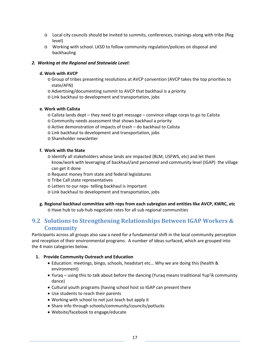- o Local city councils should be invited to summits, conferences, trainings along with tribe (Reg level)
- o Working with school. LKSD to follow community regulation/policies on disposal and backhauling

#### *2. Working at the Regional and Statewide Level:*

#### **d. Work with AVCP**

- o Group of tribes presenting resolutions at AVCP convention (AVCP takes the top priorities to state/AFN)
- o Advertising/documenting summit to AVCP that backhaul is a priority
- o Link backhaul to development and transportation, jobs

#### **e. Work with Calista**

- o Calista lands dept they need to get message convince village corps to go to Calista
- o Community needs assessment that shows backhaul a priority
- o Active demonstration of impacts of trash do backhaul to Calista
- o Link backhaul to development and transportation, jobs
- o Shareholder newsletter

#### **f. Work with the State**

- o Identify all stakeholders whose lands are impacted (BLM, USFWS, etc) and let them know/work with leveraging of backhaul/and personnel and community level (IGAP) the village can get it done
- o Request money from state and federal legislatures
- o Tribe Call state representatives
- o Letters to our reps‐ telling backhaul is important
- o Link backhaul to development and transportation, jobs

### **g. Regional backhaul committee with reps from each subregion and entities like AVCP, KWRC, etc**

o Have hub to sub‐hub negotiate rates for all sub regional communities

### **9.2 Solutions to Strengthening Relationships Between IGAP Workers & Community**

Participants across all groups also saw a need for a fundamental shift in the local community perception and reception of their environmental programs. A number of ideas surfaced, which are grouped into the 4 main categories below.

#### **1. Provide Community Outreach and Education**

- Education: meetings, bingo, schools, headstart etc… Why we are doing this (health & environment)
- Yuraq using this to talk about before the dancing (Yuraq means traditional Yup'ik community dance)
- Cultural youth programs (having school host so IGAP can present there
- Use students to reach their parents
- Working with school to not just teach but apply it
- Share info through schools/community/councils/potlucks
- Website/facebook to engage/educate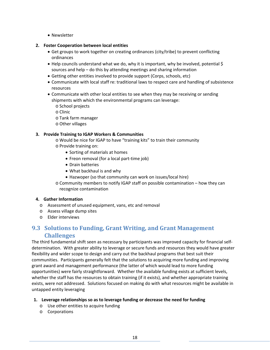• Newsletter

#### **2. Foster Cooperation between local entities**

- Get groups to work together on creating ordinances (city/tribe) to prevent conflicting ordinances
- $\bullet$  Help councils understand what we do, why it is important, why be involved, potential \$ sources and help – do this by attending meetings and sharing information
- Getting other entities involved to provide support (Corps, schools, etc)
- Communicate with local staff re: traditional laws to respect care and handling of subsistence resources
- Communicate with other local entities to see when they may be receiving or sending shipments with which the environmental programs can leverage:
	- o School projects
	- o Clinic
	- o Tank farm manager
	- o Other villages

#### **3. Provide Training to IGAP Workers & Communities**

- o Would be nice for IGAP to have "training kits" to train their community
- o Provide training on:
	- Sorting of materials at homes
	- Freon removal (for a local part-time job)
	- Drain batteries
	- What backhaul is and why
	- Hazwoper (so that community can work on issues/local hire)
- o Community members to notify IGAP staff on possible contamination how they can recognize contamination

#### **4. Gather Information**

- o Assessment of unused equipment, vans, etc and removal
- o Assess village dump sites
- o Elder interviews

### **9.3 Solutions to Funding, Grant Writing, and Grant Management Challenges**

The third fundamental shift seen as necessary by participants was improved capacity for financial self‐ determination. With greater ability to leverage or secure funds and resources they would have greater flexibility and wider scope to design and carry out the backhaul programs that best suit their communities. Participants generally felt that the solutions to acquiring more funding and improving grant award and management performance (the latter of which would lead to more funding opportunities) were fairly straightforward. Whether the available funding exists at sufficient levels, whether the staff has the resources to obtain training (if it exists), and whether appropriate training exists, were not addressed. Solutions focused on making do with what resources might be available in untapped entity leveraging

#### **1. Leverage relationships so as to leverage funding or decrease the need for funding**

- o Use other entities to acquire funding
- o Corporations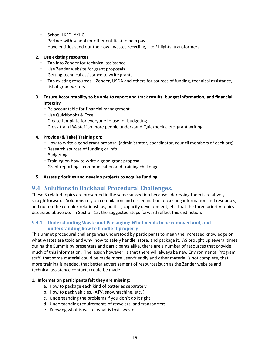- o School LKSD, YKHC
- o Partner with school (or other entities) to help pay
- o Have entities send out their own wastes recycling, like FL lights, transformers

#### **2. Use existing resources**

- o Tap into Zender for technical assistance
- o Use Zender website for grant proposals
- o Getting technical assistance to write grants
- o Tap existing resources Zender, USDA and others for sources of funding, technical assistance, list of grant writers
- **3. Ensure Accountability to be able to report and track results, budget information, and financial integrity**
	- o Be accountable for financial management
	- o Use Quickbooks & Excel
	- o Create template for everyone to use for budgeting
	- o Cross‐train IRA staff so more people understand Quickbooks, etc, grant writing

#### **4. Provide (& Take) Training on:**

- o How to write a good grant proposal (administrator, coordinator, council members of each org)
- o Research sources of funding or info
- o Budgeting
- o Training on how to write a good grant proposal
- o Grant reporting communication and training challenge
- **5. Assess priorities and develop projects to acquire funding**

### **9.4 Solutions to Backhaul Procedural Challenges.**

These 3 related topics are presented in the same subsection because addressing them is relatively straightforward. Solutions rely on compilation and dissemination of existing information and resources, and not on the complex relationships, politics, capacity development, etc. that the three priority topics discussed above do. In Section 15, the suggested steps forward reflect this distinction.

#### **9.4.1 Understanding Waste and Packaging: What needs to be removed and, and understanding how to handle it properly**

This unmet procedural challenge was understood by participants to mean the increased knowledge on what wastes are toxic and why, how to safely handle, store, and package it. AS brought up several times during the Summit by presenters and participants alike, there are a number of resources that provide much of this information. The lesson however, is that there will always be new Environmental Program staff, that some material could be made more user‐friendly and other material is not complete, that more training is needed, that better advertisement of resources(such as the Zender website and technical assistance contacts) could be made.

#### **1. Information participants felt they are missing:**

- a. How to package each kind of batteries separately
- b. How to pack vehicles, (ATV, snowmachine, etc. )
- c. Understanding the problems if you don't do it right
- d. Understanding requirements of recyclers, and transporters.
- e. Knowing what is waste, what is toxic waste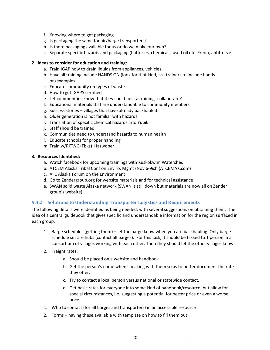- f. Knowing where to get packaging
- g. Is packaging the same for air/barge transporters?
- h. Is there packaging available for us or do we make our own?
- i. Separate specific hazards and packaging (batteries, chemicals, used oil etc. Freon, antifreeze)

#### **2. Ideas to consider for education and training:**

- a. Train IGAP how to drain liquids from appliances, vehicles…
- b. Have all training include HANDS ON (look for that kind, ask trainers to include hands on/examples)
- c. Educate community on types of waste
- d. How to get IGAPS certified
- e. Let communities know that they could host a training-collaborate?
- f. Educational materials that are understandable to community members
- g. Success stories villages that have already backhauled.
- h. Older generation is not familiar with hazards
- i. Translation of specific chemical hazards into Yupik
- j. Staff should be trained
- k. Communities need to understand hazards to human health
- l. Educate schools for proper handling
- m. Train w/RITWC (Fbks) Hazwoper

#### **3. Resources Identified:**

- a. Watch facebook for upcoming trainings with Kuskokwim Watershed
- b. ATCEM Alaska Tribal Conf on Enviro. Mgmt (Nov 6‐9ish (ATCEMAK.com)
- c. AFE Alaska Forum on the Environment
- d. Go to Zendergroup.org for website materials and for technical assistance
- e. SWAN solid waste Alaska network (SWAN is still down but materials are now all on Zender group's website)

#### **9.4.2 Solutions to Understanding Transporter Logistics and Requirements**

The following details were identified as being needed, with several suggestions on obtaining them. The idea of a central guidebook that gives specific and understandable information for the region surfaced in each group.

- 1. Barge schedules (getting them) let the barge know when you are backhauling. Only barge schedule set are hubs (contact all barges). For this task, it should be tasked to 1 person in a consortium of villages working with each other. Then they should let the other villages know.
- 2. Freight rates:
	- a. Should be placed on a website and handbook
	- b. Get the person's name when speaking with them so as to better document the rate they offer.
	- c. Try to contact a local person versus national or statewide contact.
	- d. Get basic rates for everyone into some kind of handbook/resource, but allow for special circumstances, i.e. suggesting a potential for better price or even a worse price.
- 1. Who to contact (for all barges and transporters) in an accessible resource
- 2. Forms having these available with template on how to fill them out.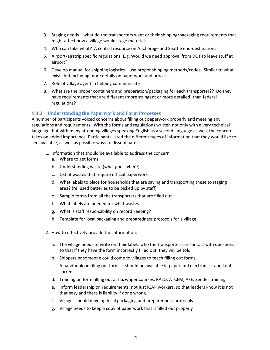- 3. Staging needs what do the transporters want or their shipping/packaging requirements that might affect how a village would stage materials.
- 4. Who can take what? A central resource on Anchorage and Seattle end-destinations.
- 5. Airport/airstrip specific regulations: E.g. Would we need approval from DOT to leave stuff at airport?
- 6. Develop manual for shipping logistics use proper shipping methods/codes. Similar to what exists but including more details on paperwork and process.
- 7. Role of village agent in helping communicate
- 8. What are the proper containers and preparation/packaging for each transporter?? Do they have requirements that are different (more stringent or more detailed) than federal regulations?

#### **9.4.3 Understanding the Paperwork and Form Processes**

A number of participants voiced concerns about filling out paperwork properly and meeting any regulations and requirements. With the forms and regulations written not only with a very technical language, but with many attending villages speaking English as a second language as well, the concern takes on added importance. Participants listed the different types of information that they would like to see available, as well as possible ways to disseminate it.

- 1. Information that should be available to address the concern:
	- a. Where to get forms
	- b. Understanding waste (what goes where)
	- c. List of wastes that require official paperwork
	- d. What labels to place for households that are saving and transporting these to staging area? (re: used batteries to be picked up by staff)
	- e. Sample forms from all the transporters that are filled out.
	- f. What labels are needed for what wastes
	- g. What is staff responsibility on record keeping?
	- h. Template for local packaging and preparedness protocols for a village
- 2. How to effectively provide the information:
	- a. The village needs to write on their labels who the transporter can contact with questions so that if they have the form incorrectly filled out, they will be told.
	- b. Shippers or someone could come to villages to teach filling out forms
	- c. A handbook on filing out forms should be available in paper and electronic and kept current
	- d. Training on form filling out at hazwoper courses, RALO, ATCEM, AFE, Zender training
	- e. Inform leadership on requirements, not just IGAP workers, so that leaders know it is not that easy and there is liability if done wrong.
	- f. Villages should develop local packaging and preparedness protocols
	- g. Village needs to keep a copy of paperwork that is filled out properly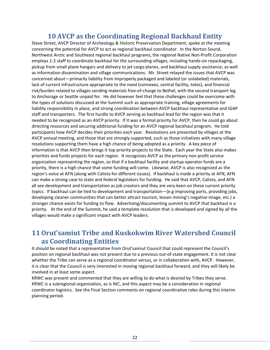## **10 AVCP as the Coordinating Regional Backhaul Entity**

Steve Street, AVCP Director of Archeology & Historic Preservation Department, spoke at the meeting concerning the potential for AVCP to act as regional backhaul coordinator. In the Norton Sound, Northwest Arctic and Southeast regional backhaul programs, the regional Native Non‐Profit Corporation employs 1‐2 staff to coordinate backhaul for the surrounding villages, including hands‐on repackaging, pickup from small plane hangars and delivery to jet cargo planes, and backhaul supply assistance, as well as information dissemination and village communications. Mr. Street relayed the issues that AVCP was concerned about—primarily liability from improperly packaged and labeled (or unlabeled) materials, lack of current infrastructure appropriate to the need (connexes, central facility, totes), and financial risk/burden related to villages sending materials free‐of‐charge to Bethel, with the second transport leg to Anchorage or Seattle unpaid for. He did however feel that these challenges could be overcome with the types of solutions discussed at the Summit such as appropriate training, village agreements for liability responsibility in place, and strong coordination between AVCP backhaul representative and IGAP staff and transporters. The first hurdle to AVCP serving as backhaul lead for the region was that it needed to be recognized as an AVCP priority. If it was a formal priority for AVCP, then he could go about directing resources and securing additional funding for an AVCP regional backhaul program. He told participants how AVCP decides their priorities each year. Resolutions are presented by villages at the AVCP annual meeting, and those that are strongly supported, such as those initiatives with many village resolutions supporting them have a high chance of being adopted as a priority. A key piece of information is that AVCP then brings it top priority projects to the State. Each year the State also makes priorities and funds projects for each region. It recognizes AVCP as the primary non‐profit service organization representing the region, so that if a backhaul facility and startup operator funds are a priority, there is a high chance that some funding will come. Likewise, AVCP is also recognized as the region's voice at AFN (along with Calista for different issues). If backhaul is made a priority at AFN, AFN can make a strong case to state and federal legislators for funding. He said that AVCP, Calista, and AFN all see development and transportation as job creators and they are very keen on these current priority topics. If backhaul can be tied to development and transportation—(e.g improving ports, providing jobs, developing cleaner communities that can better attract tourism, lessen mining's negative image, etc.) a stronger chance exists for funding to flow. Advertising/documenting summit to AVCP that backhaul is a priority. At the end of the Summit, he said a template resolution that is developed and signed by all the villages would make a significant impact with AVCP leaders.

## **11Orut'samiut Tribe and Kuskokwim River Watershed Council as Coordinating Entities**

It should be noted that a representative from Orut'samiut Council that could represent the Council's position on regional backhaul was not present due to a previous out‐of‐state engagement. It is not clear whether the Tribe can serve as a regional coordinator versus, or in collaboration with, AVCP. However, it is clear that the Council is very interested in moving regional backhaul forward, and they will likely be involved in at least some aspect.

KRWC was present and commented that they are willing to do what is desired by Tribes they serve. KRWC is a subregional organization, as is NIC, and this aspect may be a consideration in regional coordinator logistics. See the Final Section comments on regional coordinative roles during this interim planning period.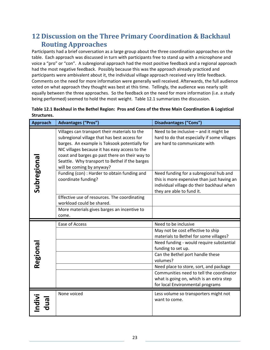## **12 Discussion on the Three Primary Coordination & Backhaul Routing Approaches**

Participants had a brief conversation as a large group about the three coordination approaches on the table. Each approach was discussed in turn with participants free to stand up with a microphone and voice a "pro" or "con". A subregional approach had the most positive feedback and a regional approach had the most negative feedback. Possibly because this was the approach already practiced and participants were ambivalent about it, the individual village approach received very little feedback. Comments on the need for more information were generally well received. Afterwards, the full audience voted on what approach they thought was best at this time. Tellingly, the audience was nearly split equally between the three approaches. So the feedback on the need for more information (i.e. a study being performed) seemed to hold the most weight. Table 12.1 summarizes the discussion.

| Table 12.1 Backhaul in the Bethel Region: Pros and Cons of the three Main Coordination & Logistical |
|-----------------------------------------------------------------------------------------------------|
| Structures.                                                                                         |

| Approach   | <b>Advantages ("Pros")</b>                                                                                                                                                                                                                                                                                                        | <b>Disadvantages ("Cons")</b>                                                                                                                                  |
|------------|-----------------------------------------------------------------------------------------------------------------------------------------------------------------------------------------------------------------------------------------------------------------------------------------------------------------------------------|----------------------------------------------------------------------------------------------------------------------------------------------------------------|
| Subregiona | Villages can transport their materials to the<br>subregional village that has best access for<br>barges. An example is Toksook potentially for<br>NIC villages because it has easy access to the<br>coast and barges go past there on their way to<br>Seattle. Why transport to Bethel if the barges<br>will be coming by anyway? | Need to be inclusive - and it might be<br>hard to do that especially if some villages<br>are hard to communicate with                                          |
|            | Funding (con) : Harder to obtain funding and<br>coordinate funding?                                                                                                                                                                                                                                                               | Need funding for a subregional hub and<br>this is more expensive than just having an<br>individual village do their backhaul when<br>they are able to fund it. |
|            | Effective use of resources. The coordinating<br>workload could be shared.                                                                                                                                                                                                                                                         |                                                                                                                                                                |
|            | More materials gives barges an incentive to<br>come.                                                                                                                                                                                                                                                                              |                                                                                                                                                                |
|            | Ease of Access                                                                                                                                                                                                                                                                                                                    | Need to be inclusive                                                                                                                                           |
|            |                                                                                                                                                                                                                                                                                                                                   | May not be cost effective to ship<br>materials to Bethel for some villages?                                                                                    |
|            |                                                                                                                                                                                                                                                                                                                                   | Need funding - would require substantial<br>funding to set up.                                                                                                 |
| Regiona    |                                                                                                                                                                                                                                                                                                                                   | Can the Bethel port handle these<br>volumes?                                                                                                                   |
|            |                                                                                                                                                                                                                                                                                                                                   | Need place to store, sort, and package                                                                                                                         |
|            |                                                                                                                                                                                                                                                                                                                                   | Communities need to tell the coordinator<br>what is going on, which is an extra step<br>for local Environmental programs                                       |
|            | None voiced                                                                                                                                                                                                                                                                                                                       | Less volume so transporters might not<br>want to come.                                                                                                         |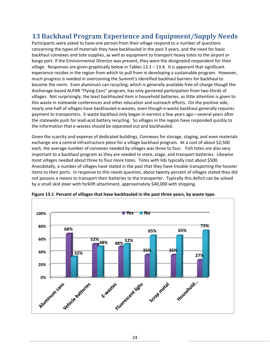## **13 Backhaul Program Experience and Equipment/Supply Needs**

Participants were asked to have one person from their village respond to a number of questions concerning the types of materials they have backhauled in the past 3 years, and the need for basic backhaul connexes and tote supplies, as well as equipment to transport heavy totes to the airport or barge port. If the Environmental Director was present, they were the designated respondent for their village. Responses are given graphically below in Tables  $13.1 - 13.4$ . It is apparent that significant experience resides in the region from which to pull from in developing a sustainable program. However, much progress is needed in overcoming the Summit's identified backhaul barriers for backhaul to become the norm. Even aluminum can recycling, which is generally available free‐of‐charge though the Anchorage‐based ALPAR "Flying Cans" program, has only garnered participation from two‐thirds of villages. Not surprisingly, the least backhauled item is household batteries, as little attention is given to this waste in statewide conferences and other education and outreach efforts. On the positive side, nearly one‐half of villages have backhauled e‐wastes, even though e‐waste backhaul generally requires payment to transporters. E-waste backhaul only began in earnest a few years ago—several years after the statewide push for lead‐acid battery recycling. So villages in the region have responded quickly to the information that e‐wastes should be separated out and backhauled.

Given the scarcity and expense of dedicated buildings, Connexes for storage, staging, and even materials exchange are a central infrastructure piece for a village backhaul program. At a cost of about \$2,500 each, the average number of connexes needed by villages was three to four. Fish totes are also very important to a backhaul program as they are needed to store, stage, and transport batteries. Likewise most villages needed about three to four more totes. Totes with lids typically cost about \$500. Anecdotally, a number of villages have stated in the past that they have trouble transporting the heavier items to their ports. In response to this needs question, about twenty percent of villages stated they did not possess a means to transport their batteries to the transporter. Typically this deficit can be solved by a small skid steer with forklift attachment, approximately \$40,000 with shipping.



**Figure 13.1 Percent of villages that have backhauled in the past three years, by waste type.**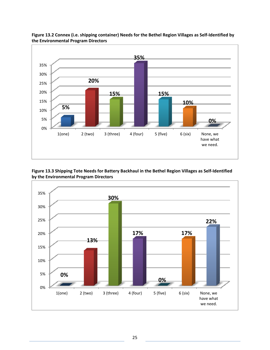

#### **Figure 13.2 Connex (i.e. shipping container) Needs for the Bethel Region Villages as Self‐Identified by the Environmental Program Directors**

#### **Figure 13.3 Shipping Tote Needs for Battery Backhaul in the Bethel Region Villages as Self‐Identified by the Environmental Program Directors**

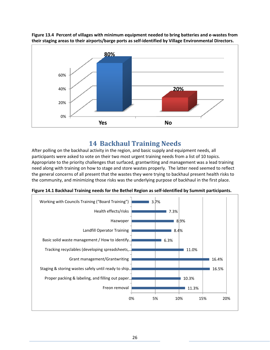

Figure 13.4 Percent of villages with minimum equipment needed to bring batteries and e-wastes from **their staging areas to their airports/barge ports as self‐identified by Village Environmental Directors.**

### **14 Backhaul Training Needs**

After polling on the backhaul activity in the region, and basic supply and equipment needs, all participants were asked to vote on their two most urgent training needs from a list of 10 topics. Appropriate to the priority challenges that surfaced, grantwriting and management was a lead training need along with training on how to stage and store wastes properly. The latter need seemed to reflect the general concerns of all present that the wastes they were trying to backhaul present health risks to the community, and minimizing those risks was the underlying purpose of backhaul in the first place.



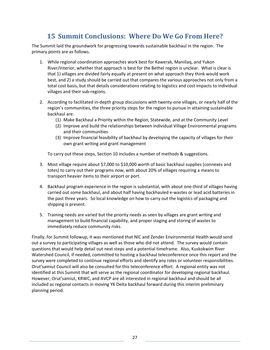## **15 Summit Conclusions: Where Do We Go From Here?**

The Summit laid the groundwork for progressing towards sustainable backhaul in the region. The primary points are as follows.

- 1. While regional coordination approaches work best for Kawerak, Maniilaq, and Yukon River/Interior, whether that approach is best for the Bethel region is unclear. What is clear is that 1) villages are divided fairly equally at present on what approach they think would work best, and 2) a study should be carried out that compares the various approaches not only from a total cost basis, but that details considerations relating to logistics and cost impacts to individual villages and their sub‐regions.
- 2. According to facilitated in-depth group discussions with twenty-one villages, or nearly half of the region's communities, the three priority steps for the region to pursue in attaining sustainable backhaul are:
	- (1) Make Backhaul a Priority within the Region, Statewide, and at the Community Level
	- (2) Improve and build the relationships between individual Village Environmental programs and their communities
	- (3) Improve financial feasibility of backhaul by developing the capacity of villages for their own grant writing and grant management

To carry out these steps, Section 10 includes a number of methods & suggestions.

- 3. Most village require about \$7,000 to \$10,000 worth of basic backhaul supplies (connexes and totes) to carry out their programs now, with about 20% of villages requiring a means to transport heavier items to their airport or port.
- 4. Backhaul program experience in the region is substantial, with about one-third of villages having carried out some backhaul, and about half having backhauled e-wastes or lead acid batteries in the past three years. So local knowledge on how to carry out the logistics of packaging and shipping is present.
- 5. Training needs are varied but the priority needs as seen by villages are grant writing and management to build financial capability, and proper staging and storing of wastes to immediately reduce community risks.

Finally, for Summit followup, it was mentioned that NIC and Zender Environmental Health would send out a survey to participating villages as well as those who did not attend. The survey would contain questions that would help detail out next steps and a potential timeframe. Also, Kuskokwim River Watershed Council, if needed, committed to hosting a backhaul teleconference once this report and the survey were completed to continue regional efforts and identify any roles or volunteer responsibilities. Orut'samiut Council will also be consulted for this teleconference effort. A regional entity was not identified at this Summit that will serve as the regional coordinator for developing regional backhaul. However, Orut'samiut, KRWC, and AVCP are all interested in regional backhaul and should be all included as regional contacts in moving YK Delta backhaul forward during this interim preliminary planning period.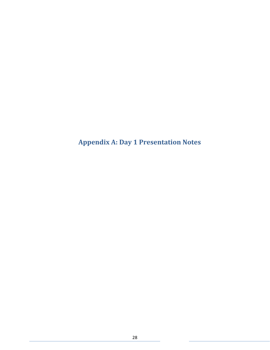**Appendix A: Day 1 Presentation Notes**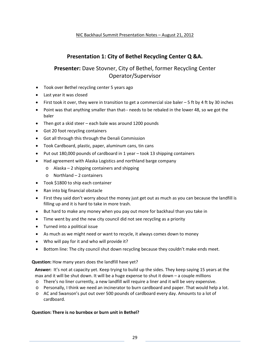### **Presentation 1: City of Bethel Recycling Center Q &A.**

### **Presenter:** Dave Stovner, City of Bethel, former Recycling Center Operator/Supervisor

- Took over Bethel recycling center 5 years ago
- Last year it was closed
- First took it over, they were in transition to get a commercial size baler  $-5$  ft by 4 ft by 30 inches
- Point was that anything smaller than that-- needs to be rebaled in the lower 48, so we got the baler
- Then got a skid steer each bale was around 1200 pounds
- Got 20 foot recycling containers
- Got all through this through the Denali Commission
- Took Cardboard, plastic, paper, aluminum cans, tin cans
- Put out 180,000 pounds of cardboard in 1 year took 13 shipping containers
- Had agreement with Alaska Logistics and northland barge company
	- o Alaska 2 shipping containers and shipping
	- o Northland 2 containers
- Took \$1800 to ship each container
- Ran into big financial obstacle
- First they said don't worry about the money just get out as much as you can because the landfill is filling up and it is hard to take in more trash.
- But hard to make any money when you pay out more for backhaul than you take in
- Time went by and the new city council did not see recycling as a priority
- Turned into a political issue
- As much as we might need or want to recycle, it always comes down to money
- Who will pay for it and who will provide it?
- Bottom line: The city council shut down recycling because they couldn't make ends meet.

#### **Question:** How many years does the landfill have yet?

Answer: It's not at capacity yet. Keep trying to build up the sides. They keep saying 15 years at the max and it will be shut down. It will be a huge expense to shut it down – a couple millions

- o There's no liner currently, a new landfill will require a liner and it will be very expensive.
- o Personally, I think we need an incinerator to burn cardboard and paper. That would help a lot.
- o AC and Swanson's put out over 500 pounds of cardboard every day. Amounts to a lot of cardboard.

#### **Question: There is no burnbox or burn unit in Bethel?**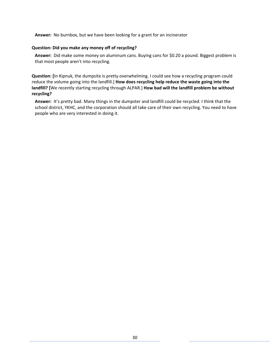**Answer:** No burnbox, but we have been looking for a grant for an incinerator

#### **Question: Did you make any money off of recycling?**

**Answer:** Did make some money on aluminum cans. Buying cans for \$0.20 a pound. Biggest problem is that most people aren't into recycling.

**Question: [**In Kipnuk, the dumpsite is pretty overwhelming. I could see how a recycling program could reduce the volume going into the landfill.] **How does recycling help reduce the waste going into the landfill? [**We recently starting recycling through ALPAR.] **How bad will the landfill problem be without recycling?**

**Answer:** It's pretty bad. Many things in the dumpster and landfill could be recycled. I think that the school district, YKHC, and the corporation should all take care of their own recycling. You need to have people who are very interested in doing it.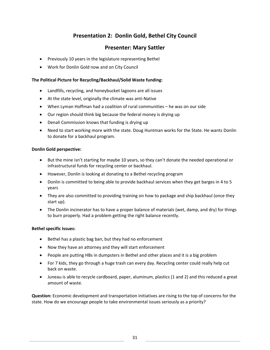### **Presentation 2: Donlin Gold, Bethel City Council**

### **Presenter: Mary Sattler**

- Previously 10 years in the legislature representing Bethel
- Work for Donlin Gold now and on City Council

#### **The Political Picture for Recycling/Backhaul/Solid Waste funding:**

- Landfills, recycling, and honeybucket lagoons are all issues
- At the state level, originally the climate was anti-Native
- When Lyman Hoffman had a coalition of rural communities he was on our side
- Our region should think big because the federal money is drying up
- Denali Commission knows that funding is drying up
- Need to start working more with the state. Doug Huntman works for the State. He wants Donlin to donate for a backhaul program.

#### **Donlin Gold perspective:**

- But the mine isn't starting for maybe 10 years, so they can't donate the needed operational or infrastructural funds for recycling center or backhaul.
- However, Donlin is looking at donating to a Bethel recycling program
- Donlin is committed to being able to provide backhaul services when they get barges in 4 to 5 years
- They are also committed to providing training on how to package and ship backhaul (once they start up).
- The Donlin incinerator has to have a proper balance of materials (wet, damp, and dry) for things to burn properly. Had a problem getting the right balance recently.

#### **Bethel specific Issues:**

- Bethel has a plastic bag ban, but they had no enforcement
- Now they have an attorney and they will start enforcement
- People are putting HBs in dumpsters in Bethel and other places and it is a big problem
- For 7 kids, they go through a huge trash can every day. Recycling center could really help cut back on waste.
- Juneau is able to recycle cardboard, paper, aluminum, plastics (1 and 2) and this reduced a great amount of waste.

**Question:** Economic development and transportation initiatives are rising to the top of concerns for the state. How do we encourage people to take environmental issues seriously as a priority?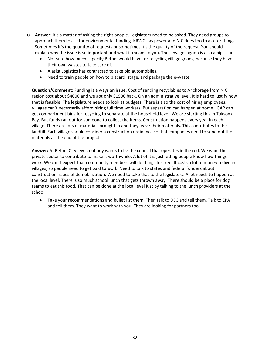- o **Answer:** It's a matter of asking the right people. Legislators need to be asked. They need groups to approach them to ask for environmental funding. KRWC has power and NIC does too to ask for things. Sometimes it's the quantity of requests or sometimes it's the quality of the request. You should explain why the issue is so important and what it means to you. The sewage lagoon is also a big issue.
	- Not sure how much capacity Bethel would have for recycling village goods, because they have their own wastes to take care of.
	- Alaska Logistics has contracted to take old automobiles.
	- Need to train people on how to placard, stage, and package the e-waste.

**Question/Comment:** Funding is always an issue. Cost of sending recyclables to Anchorage from NIC region cost about \$4000 and we got only \$1500 back. On an administrative level, it is hard to justify how that is feasible. The legislature needs to look at budgets. There is also the cost of hiring employees. Villages can't necessarily afford hiring full time workers. But separation can happen at home. IGAP can get compartment bins for recycling to separate at the household level. We are starting this in Toksook Bay. But funds ran out for someone to collect the items. Construction happens every year in each village. There are lots of materials brought in and they leave their materials. This contributes to the landfill. Each village should consider a construction ordinance so that companies need to send out the materials at the end of the project.

**Answer:** At Bethel City level, nobody wants to be the council that operates in the red. We want the private sector to contribute to make it worthwhile. A lot of it is just letting people know how things work. We can't expect that community members will do things for free. It costs a lot of money to live in villages, so people need to get paid to work. Need to talk to states and federal funders about construction issues of demobilization. We need to take that to the legislators. A lot needs to happen at the local level. There is so much school lunch that gets thrown away. There should be a place for dog teams to eat this food. That can be done at the local level just by talking to the lunch providers at the school.

 Take your recommendations and bullet list them. Then talk to DEC and tell them. Talk to EPA and tell them. They want to work with you. They are looking for partners too.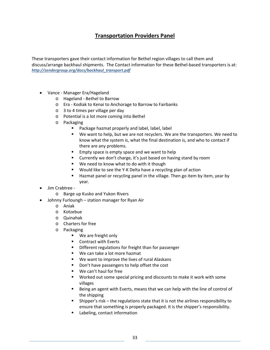### **Transportation Providers Panel**

These transporters gave their contact information for Bethel region villages to call them and discuss/arrange backhaul shipments. The Contact information for these Bethel‐based transporters is at: *http://zendergroup.org/docs/backhaul\_transport.pdf*

- Vance ‐ Manager Era/Hageland
	- o Hageland ‐ Bethel to Barrow
	- o Era ‐ Kodiak to Kenai to Anchorage to Barrow to Fairbanks
	- o 3 to 4 times per village per day
	- o Potential is a lot more coming into Bethel
	- o Packaging
		- **Package hazmat properly and label, label, label**
		- We want to help, but we are not recyclers. We are the transporters. We need to know what the system is, what the final destination is, and who to contact if there are any problems.
		- **Empty space is empty space and we want to help**
		- **E** Currently we don't charge, it's just based on having stand by room
		- We need to know what to do with it though
		- Would like to see the Y‐K Delta have a recycling plan of action
		- Hazmat panel or recycling panel in the village. Then go item by item, year by year.
- Jim Crabtree ‐
	- o Barge up Kusko and Yukon Rivers
- Johnny Furloungh station manager for Ryan Air
	- o Aniak
	- o Kotzebue
	- o Quinahak
	- o Charters for free
	- o Packaging
		- We are freight only
		- Contract with Everts
		- **•** Different regulations for freight than for passenger
		- We can take a lot more hazmat
		- We want to improve the lives of rural Alaskans
		- Don't have passengers to help offset the cost
		- We can't haul for free
		- Worked out some special pricing and discounts to make it work with some villages
		- Being an agent with Everts, means that we can help with the line of control of the shipping
		- Shipper's risk the regulations state that it is not the airlines responsibility to ensure that something is properly packaged. It is the shipper's responsibility.
		- **Labeling, contact information**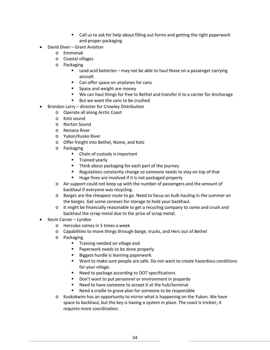- Call us to ask for help about filling out forms and getting the right paperwork and proper packaging
- David Diver Grant Aviation
	- o Emmonak
	- o Coastal villages
	- o Packaging
		- Lead acid batteries may not be able to haul those on a passenger carrying aircraft
		- Can offer space on airplanes for cans
		- **Space and weight are money**
		- We can haul things for free to Bethel and transfer it to a carrier for Anchorage
		- But we want the cans to be crushed
- Brandon Larry director for Crowley Distribution
	- o Operate all along Arctic Coast
	- o Kotz sound
	- o Norton Sound
	- o Nenana River
	- o Yukon/Kusko River
	- o Offer freight into Bethel, Nome, and Kotz
	- o Packaging
		- Chain of custody is important
		- **Trained yearly**
		- Think about packaging for each part of the journey
		- **Regulations constantly change so someone needs to stay on top of that**
		- Huge fines are involved if it is not packaged properly
	- o Air support could not keep up with the number of passengers and the amount of backhaul if everyone was recycling.
	- o Barges are the cheapest route to go. Need to focus on bulk hauling in the summer on the barges. Get some conexes for storage to hold your backhaul.
	- o It might be financially reasonable to get a recycling company to come and crush and backhaul the scrap metal due to the price of scrap metal.
- Kevin Carver Lyndon
	- o Hercules comes in 5 times a week
	- o Capabilities to move things through barge, trucks, and Herc out of Bethel
	- o Packaging
		- **Training needed on village end**
		- **Paperwork needs to be done properly**
		- Biggest hurdle is learning paperwork
		- Want to make sure people are safe. Do not want to create hazardous conditions for your village.
		- Need to package according to DOT specifications
		- **Don't want to put personnel or environment in jeopardy**
		- Need to have someone to accept it at the hub/terminal
		- Need a cradle to grave plan for someone to be responsible
	- o Kuskokwim has an opportunity to mirror what is happening on the Yukon. We have space to backhaul, but the key is having a system in place. The coast is trickier, it requires more coordination.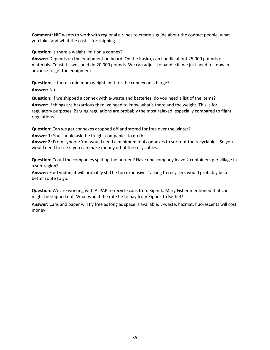**Comment:** NIC wants to work with regional airlines to create a guide about the contact people, what you take, and what the cost is for shipping.

**Question:** Is there a weight limit on a connex?

**Answer:** Depends on the equipment on board. On the Kusko, can handle about 25,000 pounds of materials. Coastal – we could do 20,000 pounds. We can adjust to handle it, we just need to know in advance to get the equipment.

**Question:** Is there a minimum weight limit for the connex on a barge? **Answer:** No.

**Question:** If we shipped a connex with e‐waste and batteries, do you need a list of the items? **Answer:** If things are hazardous then we need to know what's there and the weight. This is for regulatory purposes. Barging regulations are probably the most relaxed, especially compared to flight regulations.

**Question:** Can we get connexes dropped off and stored for free over the winter?

**Answer 1:** You should ask the freight companies to do this.

**Answer 2:** From Lyndon: You would need a minimum of 4 connexes to sort out the recyclables. So you would need to see if you can make money off of the recyclables.

**Question:** Could the companies split up the burden? Have one company leave 2 containers per village in a sub‐region?

**Answer:** For Lyndon, it will probably still be too expensive. Talking to recyclers would probably be a better route to go.

**Question:** We are working with ALPAR to recycle cans from Kipnuk. Mary Fisher mentioned that cans might be shipped out. What would the rate be to pay from Kipnuk to Bethel?

**Answer:** Cans and paper will fly free as long as space is available. E‐waste, hazmat, fluorescents will cost money.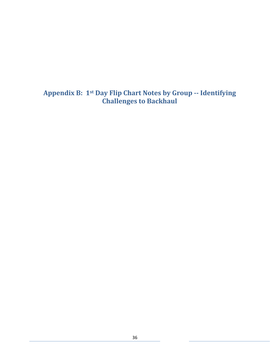**Appendix B: 1st Day Flip Chart Notes by Group ‐‐ Identifying Challenges to Backhaul**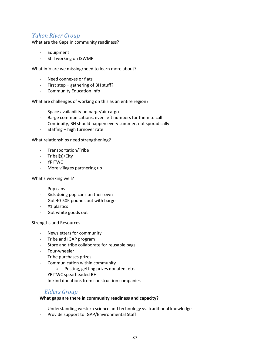### *Yukon River Group*

What are the Gaps in community readiness?

- ‐ Equipment
- ‐ Still working on ISWMP

What info are we missing/need to learn more about?

- ‐ Need connexes or flats
- ‐ First step gathering of BH stuff?
- ‐ Community Education Info

What are challenges of working on this as an entire region?

- ‐ Space availability on barge/air cargo
- ‐ Barge communications, even left numbers for them to call
- ‐ Continuity, BH should happen every summer, not sporadically
- ‐ Staffing high turnover rate

What relationships need strengthening?

- ‐ Transportation/Tribe
- ‐ Tribal(s)/City
- ‐ YRITWC
- ‐ More villages partnering up

#### What's working well?

- ‐ Pop cans
- ‐ Kids doing pop cans on their own
- ‐ Got 40‐50K pounds out with barge
- ‐ #1 plastics
- ‐ Got white goods out

Strengths and Resources

- ‐ Newsletters for community
- ‐ Tribe and IGAP program
- ‐ Store and tribe collaborate for reusable bags
- ‐ Four‐wheeler
- ‐ Tribe purchases prizes
- ‐ Communication within community
	- o Posting, getting prizes donated, etc.
- ‐ YRITWC spearheaded BH
- ‐ In kind donations from construction companies

#### *Elders Group*

#### **What gaps are there in community readiness and capacity?**

- ‐ Understanding western science and technology vs. traditional knowledge
- ‐ Provide support to IGAP/Environmental Staff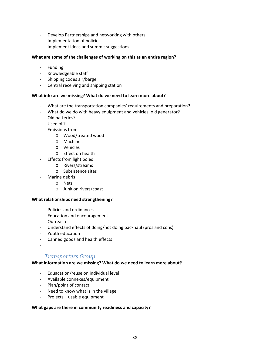- ‐ Develop Partnerships and networking with others
- ‐ Implementation of policies
- ‐ Implement ideas and summit suggestions

#### **What are some of the challenges of working on this as an entire region?**

- **Funding**
- ‐ Knowledgeable staff
- ‐ Shipping codes air/barge
- ‐ Central receiving and shipping station

#### **What info are we missing? What do we need to learn more about?**

- ‐ What are the transportation companies' requirements and preparation?
- What do we do with heavy equipment and vehicles, old generator?
- ‐ Old batteries?
- ‐ Used oil?
- ‐ Emissions from
	- o Wood/treated wood
	- o Machines
	- o Vehicles
	- o Effect on health
	- ‐ Effects from light poles
		- o Rivers/streams
			- o Subsistence sites
- ‐ Marine debris
	- o Nets
	- o Junk on rivers/coast

#### **What relationships need strengthening?**

- ‐ Policies and ordinances
- ‐ Education and encouragement
- ‐ Outreach
- ‐ Understand effects of doing/not doing backhaul (pros and cons)
- ‐ Youth education
- ‐ Canned goods and health effects
- ‐

#### *Transporters Group*

#### **What information are we missing? What do we need to learn more about?**

- ‐ Eduacation/reuse on individual level
- ‐ Available connexes/equipment
- ‐ Plan/point of contact
- Need to know what is in the village
- ‐ Projects usable equipment

#### **What gaps are there in community readiness and capacity?**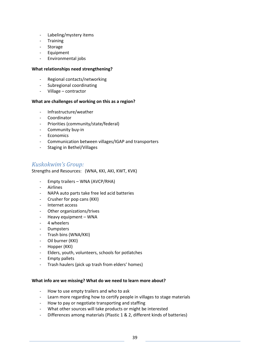- ‐ Labeling/mystery items
- ‐ Training
- ‐ Storage
- ‐ Equipment
- ‐ Environmental jobs

#### **What relationships need strengthening?**

- ‐ Regional contacts/networking
- ‐ Subregional coordinating
- ‐ Village contractor

#### **What are challenges of working on this as a region?**

- ‐ Infrastructure/weather
- ‐ Coordinator
- ‐ Priorities (community/state/federal)
- ‐ Community buy‐in
- ‐ Economics
- ‐ Communication between villages/IGAP and transporters
- ‐ Staging in Bethel/Villages

### *Kuskokwim's Group:*

Strengths and Resources: (WNA, KKI, AKI, KWT, KVK)

- ‐ Empty trailers WNA (AVCP/RHA)
- **Airlines**
- ‐ NAPA auto parts take free led acid batteries
- ‐ Crusher for pop cans (KKI)
- ‐ Internet access
- ‐ Other organizations/trives
- Heavy equipment WNA
- ‐ 4 wheelers
- ‐ Dumpsters
- ‐ Trash bins (WNA/KKI)
- ‐ Oil burner (KKI)
- ‐ Hopper (KKI)
- ‐ Elders, youth, volunteers, schools for potlatches
- ‐ Empty pallets
- ‐ Trash haulers (pick up trash from elders' homes)

#### **What info are we missing? What do we need to learn more about?**

- ‐ How to use empty trailers and who to ask
- ‐ Learn more regarding how to certify people in villages to stage materials
- ‐ How to pay or negotiate transporting and staffing
- ‐ What other sources will take products or might be interested
- Differences among materials (Plastic 1 & 2, different kinds of batteries)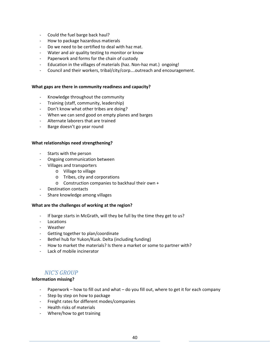- ‐ Could the fuel barge back haul?
- ‐ How to package hazardous matierals
- ‐ Do we need to be certified to deal with haz mat.
- ‐ Water and air quality testing to monitor or know
- ‐ Paperwork and forms for the chain of custody
- ‐ Education in the villages of materials (haz. Non‐haz mat.) ongoing!
- ‐ Council and their workers, tribal/city/corp….outreach and encouragement.

#### **What gaps are there in community readiness and capacity?**

- ‐ Knowledge throughout the community
- ‐ Training (staff, community, leadership)
- ‐ Don't know what other tribes are doing?
- ‐ When we can send good on empty planes and barges
- ‐ Alternate laborers that are trained
- ‐ Barge doesn't go year round

#### **What relationships need strengthening?**

- Starts with the person
- ‐ Ongoing communication between
	- ‐ Villages and transporters
		- o Village to village
		- o Tribes, city and corporations
		- o Construction companies to backhaul their own +
- ‐ Destination contacts
- ‐ Share knowledge among villages

#### **What are the challenges of working at the region?**

- ‐ If barge starts in McGrath, will they be full by the time they get to us?
- ‐ Locations
- ‐ Weather
- ‐ Getting together to plan/coordinate
- ‐ Bethel hub for Yukon/Kusk. Delta (including funding)
- ‐ How to market the materials? Is there a market or some to partner with?
- ‐ Lack of mobile incinerator

#### *NIC'S GROUP*

#### **Information missing?**

- Paperwork how to fill out and what do you fill out, where to get it for each company
- ‐ Step by step on how to package
- ‐ Freight rates for different modes/companies
- ‐ Health risks of materials
- ‐ Where/how to get training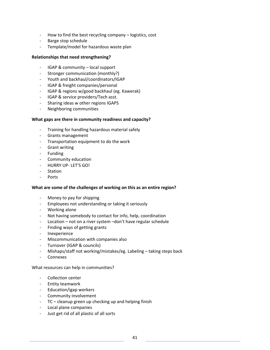- ‐ How to find the best recycling company logistics, cost
- ‐ Barge stop schedule
- ‐ Template/model for hazardous waste plan

#### **Relationships that need strengthening?**

- ‐ IGAP & community local support
- ‐ Stronger communication (monthly?)
- ‐ Youth and backhaul/coordinators/IGAP
- ‐ IGAP & freight companies/personal
- ‐ IGAP & regions w/good backhaul (eg. Kawerak)
- ‐ IGAP & service providers/Tech asst.
- ‐ Sharing ideas w other regions IGAPS
- ‐ Neighboring communities

#### **What gaps are there in community readiness and capacity?**

- ‐ Training for handling hazardous material safely
- ‐ Grants management
- ‐ Transportation equipment to do the work
- ‐ Grant writing
- ‐ Funding
- ‐ Community education
- ‐ HURRY UP‐ LET'S GO!
- ‐ Station
- **Ports**

#### **What are some of the challenges of working on this as an entire region?**

- ‐ Money to pay for shipping
- ‐ Employees not understanding or taking it seriously
- ‐ Working alone
- ‐ Not having somebody to contact for info, help, coordination
- ‐ Location not on a river system –don't have regular schedule
- ‐ Finding ways of getting grants
- ‐ Inexperience
- ‐ Miscommunication with companies also
- ‐ Turnover (IGAP & councils)
- ‐ Mishaps/staff not working/mistakes/eg. Labeling taking steps back
- ‐ Connexes

#### What resources can help in communities?

- ‐ Collection center
- ‐ Entity teamwork
- ‐ Education/igap workers
- ‐ Community involvement
- ‐ TC cleanup green up checking up and helping finish
- ‐ Local plane companies
- ‐ Just get rid of all plastic of all sorts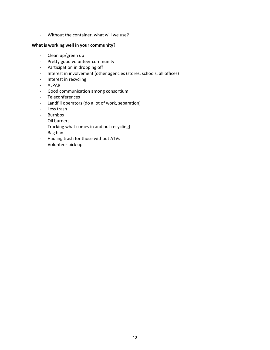‐ Without the container, what will we use?

#### **What is working well in your community?**

- ‐ Clean up/green up
- ‐ Pretty good volunteer community
- ‐ Participation in dropping off
- ‐ Interest in involvement (other agencies (stores, schools, all offices)
- ‐ Interest in recycling
- ‐ ALPAR
- ‐ Good communication among consortium
- ‐ Teleconferences
- ‐ Landfill operators (do a lot of work, separation)
- ‐ Less trash
- ‐ Burnbox
- ‐ Oil burners
- ‐ Tracking what comes in and out recycling)
- ‐ Bag ban
- ‐ Hauling trash for those without ATVs
- ‐ Volunteer pick up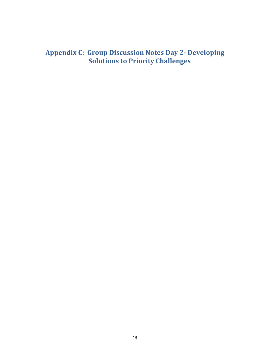## **Appendix C: Group Discussion Notes Day 2‐ Developing Solutions to Priority Challenges**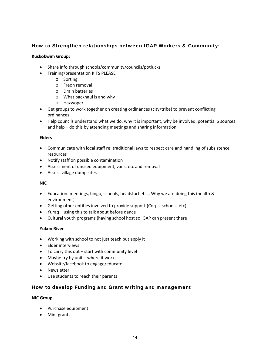#### How to Strengthen relationships between IGAP Workers & Community:

#### **Kuskokwim Group:**

- Share info through schools/community/councils/potlucks
- Training/presentation KITS PLEASE
	- o Sorting
	- o Freon removal
	- o Drain batteries
	- o What backhaul is and why
	- o Hazwoper
- Get groups to work together on creating ordinances (city/tribe) to prevent conflicting ordinances
- Help councils understand what we do, why it is important, why be involved, potential \$ sources and help – do this by attending meetings and sharing information

#### **Elders**

- Communicate with local staff re: traditional laws to respect care and handling of subsistence resources
- Notify staff on possible contamination
- Assessment of unused equipment, vans, etc and removal
- Assess village dump sites

#### **NIC**

- Education: meetings, bingo, schools, headstart etc… Why we are doing this (health & environment)
- Getting other entities involved to provide support (Corps, schools, etc)
- Yuraq using this to talk about before dance
- Cultural youth programs (having school host so IGAP can present there

#### **Yukon River**

- Working with school to not just teach but apply it
- Elder interviews
- To carry this out start with community level
- Maybe try by unit where it works
- Website/facebook to engage/educate
- Newsletter
- Use students to reach their parents

#### How to develop Funding and Grant writing and management

#### **NIC Group**

- Purchase equipment
- Mini-grants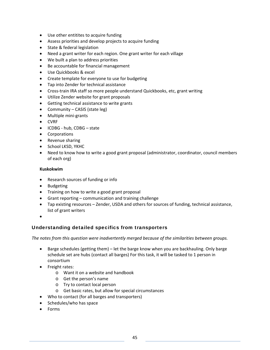- Use other entitites to acquire funding
- Assess priorities and develop projects to acquire funding
- State & federal legislation
- Need a grant writer for each region. One grant writer for each village
- We built a plan to address priorities
- Be accountable for financial management
- Use Quickbooks & excel
- Create template for everyone to use for budgeting
- Tap into Zender for technical assistance
- Cross-train IRA staff so more people understand Quickbooks, etc, grant writing
- Utilize Zender website for grant proposals
- Getting technical assistance to write grants
- Community CASIS (state leg)
- Multiple mini-grants
- CVRF
- ICDBG hub, CDBG state
- Corporations
- Revenue sharing
- School LKSD, YKHC
- Need to know how to write a good grant proposal (administrator, coordinator, council members of each org)

#### **Kuskokwim**

- Research sources of funding or info
- Budgeting
- Training on how to write a good grant proposal
- Grant reporting communication and training challenge
- Tap existing resources Zender, USDA and others for sources of funding, technical assistance, list of grant writers
- $\bullet$

#### Understanding detailed specifics from transporters

*The notes from this question were inadvertently merged because of the similarities between groups.*

- Barge schedules (getting them) let the barge know when you are backhauling. Only barge schedule set are hubs (contact all barges) For this task, it will be tasked to 1 person in consortium
- Freight rates:
	- o Want it on a website and handbook
	- o Get the person's name
	- o Try to contact local person
	- o Get basic rates, but allow for special circumstances
- Who to contact (for all barges and transporters)
- Schedules/who has space
- Forms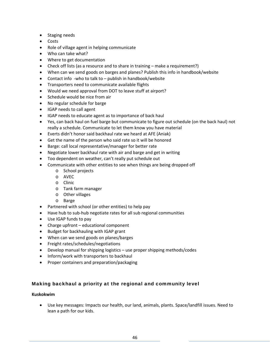- Staging needs
- Costs
- Role of village agent in helping communicate
- Who can take what?
- Where to get documentation
- Check off lists (as a resource and to share in training make a requirement?)
- When can we send goods on barges and planes? Publish this info in handbook/website
- Contact info -who to talk to publish in handbook/website
- **•** Transporters need to communicate available flights
- Would we need approval from DOT to leave stuff at airport?
- Schedule would be nice from air
- No regular schedule for barge
- IGAP needs to call agent
- IGAP needs to educate agent as to importance of back haul
- Yes, can back haul on fuel barge but communicate to figure out schedule (on the back haul) not really a schedule. Communicate to let them know you have material
- Everts didn't honor said backhaul rate we heard at AFE (Aniak)
- Get the name of the person who said rate so it will be honored
- Barge: call local representative/manager for better rate
- Negotiate lower backhaul rate with air and barge and get in writing
- Too dependent on weather, can't really put schedule out
- Communicate with other entities to see when things are being dropped off
	- o School projects
	- o AVEC
	- o Clinic
	- o Tank farm manager
	- o Other villages
	- o Barge
- Partnered with school (or other entities) to help pay
- Have hub to sub-hub negotiate rates for all sub regional communities
- Use IGAP funds to pay
- Charge upfront educational component
- Budget for backhauling with IGAP grant
- When can we send goods on planes/barges
- Freight rates/schedules/negotiations
- Develop manual for shipping logistics use proper shipping methods/codes
- Inform/work with transporters to backhaul
- Proper containers and preparation/packaging

#### Making backhaul a priority at the regional and community level

#### **Kuskokwim**

 Use key messages: Impacts our health, our land, animals, plants. Space/landfill issues. Need to lean a path for our kids.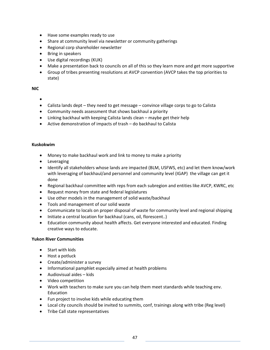- Have some examples ready to use
- Share at community level via newsletter or community gatherings
- Regional corp shareholder newsletter
- Bring in speakers
- Use digital recordings (KUK)
- Make a presentation back to councils on all of this so they learn more and get more supportive
- Group of tribes presenting resolutions at AVCP convention (AVCP takes the top priorities to state)

#### **NIC**

- $\bullet$
- Calista lands dept they need to get message convince village corps to go to Calista
- Community needs assessment that shows backhaul a priority
- Linking backhaul with keeping Calista lands clean maybe get their help
- Active demonstration of impacts of trash do backhaul to Calista

#### **Kuskokwim**

- Money to make backhaul work and link to money to make a priority
- **•** Leveraging
- Identify all stakeholders whose lands are impacted (BLM, USFWS, etc) and let them know/work with leveraging of backhaul/and personnel and community level (IGAP) the village can get it done
- Regional backhaul committee with reps from each subregion and entities like AVCP, KWRC, etc
- Request money from state and federal legislatures
- Use other models in the management of solid waste/backhaul
- Tools and management of our solid waste
- Communicate to locals on proper disposal of waste for community level and regional shipping
- Initiate a central location for backhaul (cans, oil, florescent..)
- Education community about health affects. Get everyone interested and educated. Finding creative ways to educate.

#### **Yukon River Communities**

- Start with kids
- Host a potluck
- Create/administer a survey
- Informational pamphlet especially aimed at health problems
- Audiovisual aides kids
- Video competition
- Work with teachers to make sure you can help them meet standards while teaching env. Education
- Fun project to involve kids while educating them
- Local city councils should be invited to summits, conf, trainings along with tribe (Reg level)
- Tribe Call state representatives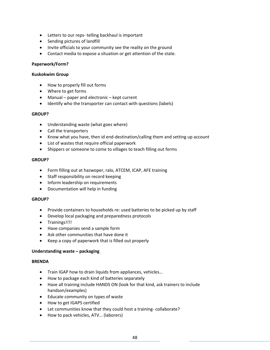- Letters to our reps- telling backhaul is important
- Sending pictures of landfill
- Invite officials to your community see the reality on the ground
- Contact media to expose a situation or get attention of the state.

#### **Paperwork/Form?**

#### **Kuskokwim Group**

- How to properly fill out forms
- Where to get forms
- Manual paper and electronic kept current
- Identify who the transporter can contact with questions (labels)

#### **GROUP?**

- Understanding waste (what goes where)
- Call the transporters
- Know what you have, then id end-destination/calling them and setting up account
- List of wastes that require official paperwork
- Shippers or someone to come to villages to teach filling out forms

#### **GROUP?**

- Form filling out at hazwoper, ralo, ATCEM, ICAP, AFE training
- Staff responsibility on record keeping
- Inform leadership on requirements
- Documentation will help in funding

#### **GROUP?**

- Provide containers to households re: used batteries to be picked up by staff
- Develop local packaging and preparedness protocols
- **•** Trainings!!!!
- Have companies send a sample form
- Ask other communities that have done it
- Keep a copy of paperwork that is filled out properly

#### **Understanding waste – packaging**

#### **BRENDA**

- Train IGAP how to drain liquids from appliances, vehicles...
- How to package each kind of batteries separately
- Have all training include HANDS ON (look for that kind, ask trainers to include handson/examples)
- Educate community on types of waste
- How to get IGAPS certified
- Let communities know that they could host a training-collaborate?
- How to pack vehicles, ATV... (laborers)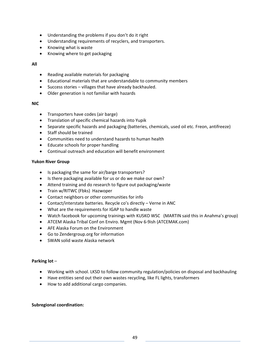- Understanding the problems if you don't do it right
- Understanding requirements of recyclers, and transporters.
- Knowing what is waste
- Knowing where to get packaging

#### **All**

- Reading available materials for packaging
- Educational materials that are understandable to community members
- Success stories villages that have already backhauled.
- Older generation is not familiar with hazards

#### **NIC**

- Transporters have codes (air barge)
- Translation of specific chemical hazards into Yupik
- Separate specific hazards and packaging (batteries, chemicals, used oil etc. Freon, antifreeze)
- Staff should be trained
- Communities need to understand hazards to human health
- Educate schools for proper handling
- Continual outreach and education will benefit environment

#### **Yukon River Group**

- Is packaging the same for air/barge transporters?
- Is there packaging available for us or do we make our own?
- Attend training and do research to figure out packaging/waste
- Train w/RITWC (Fbks) Hazwoper
- Contact neighbors or other communities for info
- Contact/interstate batteries. Recycle co's directly Verne in ANC
- What are the requirements for IGAP to handle waste
- Watch facebook for upcoming trainings with KUSKO WSC (MARTIN said this in Anahma's group)
- ATCEM Alaska Tribal Conf on Enviro. Mgmt (Nov 6-9ish (ATCEMAK.com)
- AFE Alaska Forum on the Environment
- Go to Zendergroup.org for information
- SWAN solid waste Alaska network

#### **Parking lot** –

- Working with school. LKSD to follow community regulation/policies on disposal and backhauling
- Have entities send out their own wastes recycling, like FL lights, transformers
- How to add additional cargo companies.

#### **Subregional coordination:**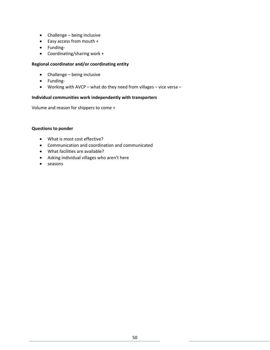- Challenge being inclusive
- Easy access from mouth +
- Funding-
- Coordinating/sharing work +

#### **Regional coordinator and/or coordinating entity**

- Challenge being inclusive
- Funding-
- Working with AVCP what do they need from villages vice versa –

#### **Individual communities work independently with transporters**

Volume and reason for shippers to come +

#### **Questions to ponder**

- What is most cost effective?
- Communication and coordination and communicated
- What facilities are available?
- Asking individual villages who aren't here
- seasons